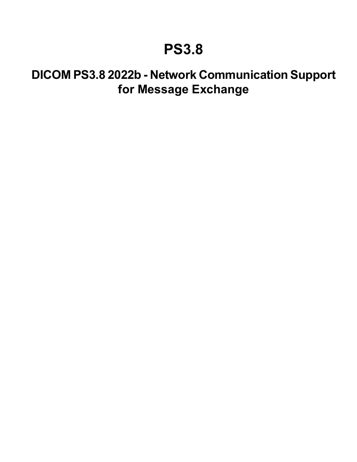# **PS3.8**

# <span id="page-0-0"></span>**DICOM PS3.8 2022b - Network Communication Support for Message Exchange**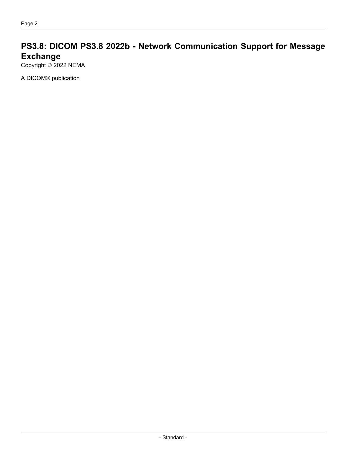# **PS3.8: DICOM PS3.8 2022b - Network Communication Support for Message Exchange**

Copyright © 2022 NEMA

A DICOM® publication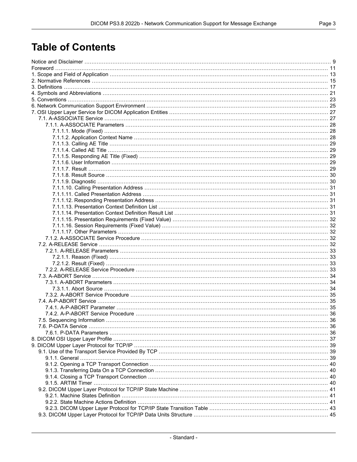# **Table of Contents**

| 7.5. Sequencing Information |  |
|-----------------------------|--|
|                             |  |
|                             |  |
|                             |  |
|                             |  |
|                             |  |
|                             |  |
|                             |  |
|                             |  |
|                             |  |
|                             |  |
|                             |  |
|                             |  |
|                             |  |
|                             |  |
|                             |  |
|                             |  |
|                             |  |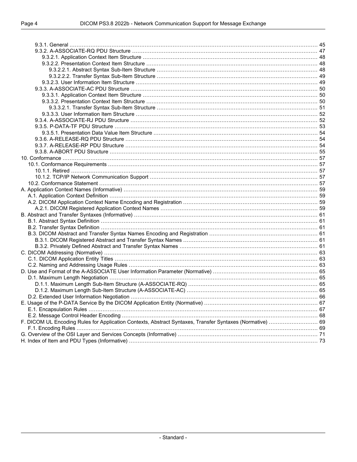| F. DICOM UL Encoding Rules for Application Contexts, Abstract Syntaxes, Transfer Syntaxes (Normative)  69 |  |
|-----------------------------------------------------------------------------------------------------------|--|
|                                                                                                           |  |
|                                                                                                           |  |
|                                                                                                           |  |
|                                                                                                           |  |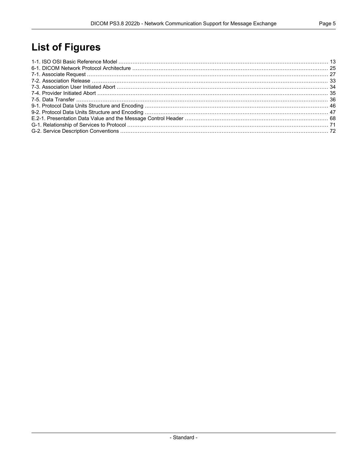# **List of Figures**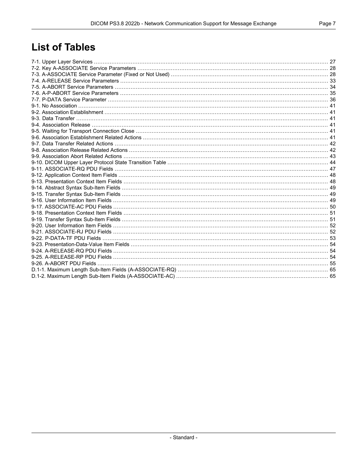# **List of Tables**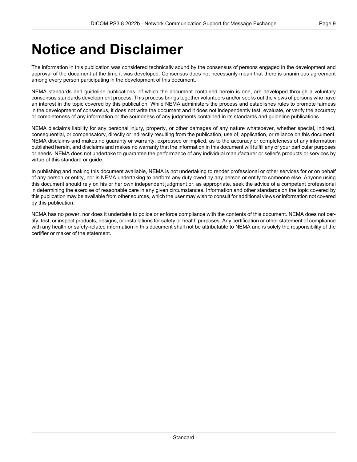# <span id="page-8-0"></span>**Notice and Disclaimer**

The information in this publication was considered technically sound by the consensus of persons engaged in the development and approval of the document at the time it was developed. Consensus does not necessarily mean that there is unanimous agreement among every person participating in the development of this document.

NEMA standards and guideline publications, of which the document contained herein is one, are developed through a voluntary consensus standards development process. This process brings together volunteers and/or seeks out the views of persons who have an interest in the topic covered by this publication. While NEMA administers the process and establishes rules to promote fairness in the development of consensus, it does not write the document and it does not independently test, evaluate, or verify the accuracy or completeness of any information or the soundness of any judgments contained in its standards and guideline publications.

NEMA disclaims liability for any personal injury, property, or other damages of any nature whatsoever, whether special, indirect, consequential, or compensatory, directly or indirectly resulting from the publication, use of, application, or reliance on this document. NEMA disclaims and makes no guaranty or warranty, expressed or implied, as to the accuracy or completeness of any information published herein, and disclaims and makes no warranty that the information in this document will fulfill any of your particular purposes or needs. NEMA does not undertake to guarantee the performance of any individual manufacturer or seller's products or services by virtue of this standard or guide.

In publishing and making this document available, NEMA is not undertaking to render professional or other services for or on behalf of any person or entity, nor is NEMA undertaking to perform any duty owed by any person or entity to someone else. Anyone using this document should rely on his or her own independent judgment or, as appropriate, seek the advice of a competent professional in determining the exercise of reasonable care in any given circumstances. Information and other standards on the topic covered by this publication may be available from other sources, which the user may wish to consult for additional views or information not covered by this publication.

NEMA has no power, nor does it undertake to police or enforce compliance with the contents of this document. NEMA does not cer tify, test, or inspect products, designs, or installations for safety or health purposes. Any certification or other statement of compliance with any health or safety-related information in this document shall not be attributable to NEMA and is solely the responsibility of the certifier or maker of the statement.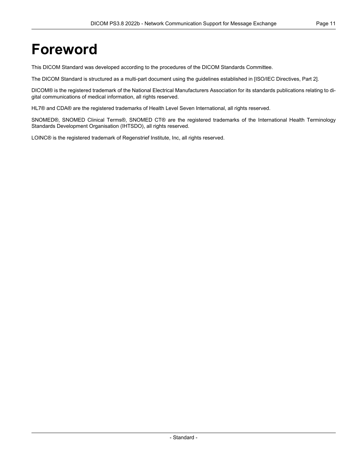# <span id="page-10-0"></span>**Foreword**

This DICOM Standard was developed according to the procedures of the DICOM Standards Committee.

The DICOM Standard is structured as a multi-part document using the guidelines established in [ISO/IEC [Directives,](#page-14-1) Part 2].

DICOM® is the registered trademark of the National Electrical Manufacturers Association for its standards publications relating to di gital communications of medical information, all rights reserved.

HL7® and CDA® are the registered trademarks of Health Level Seven International, all rights reserved.

SNOMED®, SNOMED Clinical Terms®, SNOMED CT® are the registered trademarks of the International Health Terminology Standards Development Organisation (IHTSDO), all rights reserved.

LOINC® is the registered trademark of Regenstrief Institute, Inc, all rights reserved.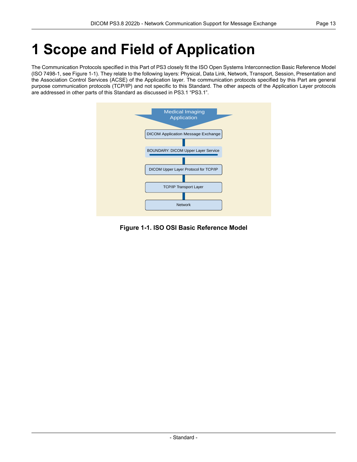# <span id="page-12-0"></span>**1 Scope and Field of Application**

<span id="page-12-1"></span>The Communication Protocols specified in this Part of PS3 closely fit the ISO Open Systems Interconnection Basic Reference Model (ISO 7498-1, see [Figure](#page-12-1) 1-1). They relate to the following layers: Physical, Data Link, Network, Transport, Session, Presentation and the Association Control Services (ACSE) of the Application layer. The communication protocols specified by this Part are general purpose communication protocols (TCP/IP) and not specific to this Standard. The other aspects of the Application Layer protocols are addressed in other parts of this Standard as discussed in PS3.1 ["PS3.1".](part01.pdf#PS3.1)



**Figure 1-1. ISO OSI Basic Reference Model**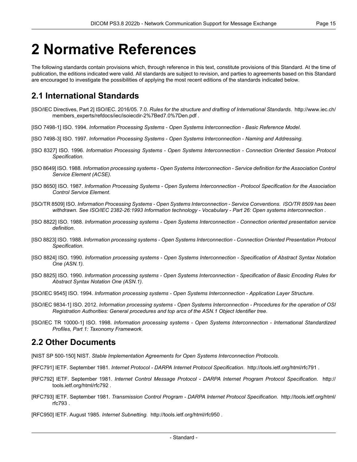# <span id="page-14-0"></span>**2 Normative References**

The following standards contain provisions which, through reference in this text, constitute provisions of this Standard. At the time of publication, the editions indicated were valid. All standards are subject to revision, and parties to agreements based on this Standard are encouraged to investigate the possibilities of applying the most recent editions of the standards indicated below.

## <span id="page-14-1"></span>**2.1 International Standards**

- <span id="page-14-2"></span>[ISO/IEC Directives, Part 2] ISO/IEC. 2016/05. 7.0. *Rules for the structure and drafting of International Standards*. [http://www.iec.ch/](http://www.iec.ch/members_experts/refdocs/iec/isoiecdir-2%7Bed7.0%7Den.pdf) [members\\_experts/refdocs/iec/isoiecdir-2%7Bed7.0%7Den.pdf](http://www.iec.ch/members_experts/refdocs/iec/isoiecdir-2%7Bed7.0%7Den.pdf) .
- <span id="page-14-3"></span>[ISO 7498-1] ISO. 1994. *Information Processing Systems - Open Systems Interconnection - Basic Reference Model*.
- [ISO 7498-3] ISO. 1997. *Information Processing Systems - Open Systems Interconnection - Naming and Addressing*.
- <span id="page-14-6"></span>[ISO 8327] ISO. 1996. *Information Processing Systems - Open Systems Interconnection - Connection Oriented Session Protocol Specification*.
- [ISO 8649] ISO. 1988. Information processing systems Open Systems Interconnection Service definition for the Association Control *Service Element (ACSE)*.
- <span id="page-14-4"></span>[ISO 8650] ISO. 1987. *Information Processing Systems - Open Systems Interconnection - Protocol Specification for the Association Control Service Element*.
- <span id="page-14-5"></span>[ISO/TR 8509] ISO. *Information Processing Systems - Open Systems Interconnection - Service Conventions*. *ISO/TR 8509 has been withdrawn. See ISO/IEC 2382-26:1993 Information technology - Vocabulary - Part 26: Open systems interconnection* .
- [ISO 8822] ISO. 1988. *Information processing systems - Open Systems Interconnection - Connection oriented presentation service definition*.
- [ISO 8823] ISO. 1988. *Information processing systems - Open Systems Interconnection - Connection Oriented Presentation Protocol Specification*.
- [ISO 8824] ISO. 1990. *Information processing systems - Open Systems Interconnection - Specification of Abstract Syntax Notation One (ASN.1)*.
- [ISO 8825] ISO. 1990. Information processing systems Open Systems Interconnection Specification of Basic Encoding Rules for *Abstract Syntax Notation One (ASN.1)*.
- [ISO/IEC 9545] ISO. 1994. *Information processing systems - Open Systems Interconnection - Application Layer Structure*.
- [ISO/IEC 9834-1] ISO. 2012. Information processing systems Open Systems Interconnection Procedures for the operation of OSI *Registration Authorities: General procedures and top arcs of the ASN.1 Object Identifier tree*.
- [ISO/IEC TR 10000-1] ISO. 1998. *Information processing systems - Open Systems Interconnection - International Standardized Profiles, Part 1: Taxonomy Framework*.

#### **2.2 Other Documents**

- [NIST SP 500-150] NIST. *Stable Implementation Agreements for Open Systems Interconnection Protocols*.
- [RFC791] IETF. September 1981. *Internet Protocol - DARPA Internet Protocol Specification*. <http://tools.ietf.org/html/rfc791> .
- [RFC792] IETF. September 1981. *Internet Control Message Protocol - DARPA Internet Program Protocol Specification*. [http://](http://tools.ietf.org/html/rfc792) [tools.ietf.org/html/rfc792](http://tools.ietf.org/html/rfc792) .
- [RFC793] IETF. September 1981. *Transmission Control Program - DARPA Internet Protocol Specification*. [http://tools.ietf.org/html/](http://tools.ietf.org/html/rfc793) [rfc793](http://tools.ietf.org/html/rfc793) .
- [RFC950] IETF. August 1985. *Internet Subnetting*. <http://tools.ietf.org/html/rfc950> .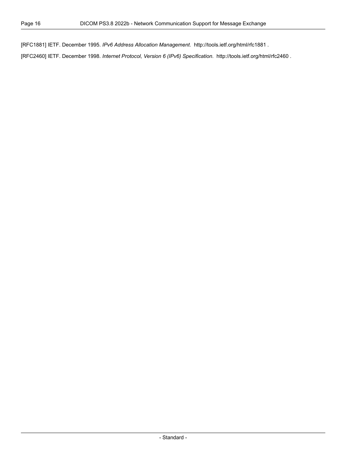[RFC1881] IETF. December 1995. *IPv6 Address Allocation Management*. <http://tools.ietf.org/html/rfc1881> .

[RFC2460] IETF. December 1998. *Internet Protocol, Version 6 (IPv6) Specification*. <http://tools.ietf.org/html/rfc2460> .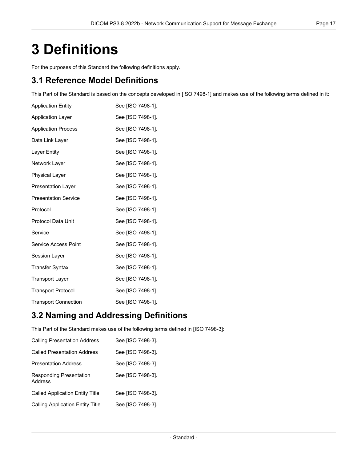# <span id="page-16-0"></span>**3 Definitions**

For the purposes of this Standard the following definitions apply.

### **3.1 Reference Model Definitions**

This Part of the Standard is based on the concepts developed in [ISO [7498-1\]](#page-14-2) and makes use of the following terms defined in it:

| <b>Application Entity</b>   | See [ISO 7498-1]. |
|-----------------------------|-------------------|
| <b>Application Layer</b>    | See [ISO 7498-1]. |
| <b>Application Process</b>  | See [ISO 7498-1]. |
| Data Link Layer             | See [ISO 7498-1]. |
| Layer Entity                | See [ISO 7498-1]. |
| Network Layer               | See [ISO 7498-1]. |
| <b>Physical Layer</b>       | See [ISO 7498-1]. |
| <b>Presentation Layer</b>   | See [ISO 7498-1]. |
| <b>Presentation Service</b> | See [ISO 7498-1]. |
| Protocol                    | See [ISO 7498-1]. |
| Protocol Data Unit          | See [ISO 7498-1]. |
| Service                     | See [ISO 7498-1]. |
| Service Access Point        | See [ISO 7498-1]. |
| Session Layer               | See [ISO 7498-1]. |
| <b>Transfer Syntax</b>      | See [ISO 7498-1]. |
| <b>Transport Layer</b>      | See [ISO 7498-1]. |
| <b>Transport Protocol</b>   | See [ISO 7498-1]. |
| <b>Transport Connection</b> | See [ISO 7498-1]. |

### **3.2 Naming and Addressing Definitions**

This Part of the Standard makes use of the following terms defined in [ISO [7498-3\]](#page-14-3):

| See [ISO 7498-3]. |
|-------------------|
| See [ISO 7498-3]. |
| See [ISO 7498-3]. |
| See [ISO 7498-3]. |
| See [ISO 7498-3]. |
| See [ISO 7498-3]. |
|                   |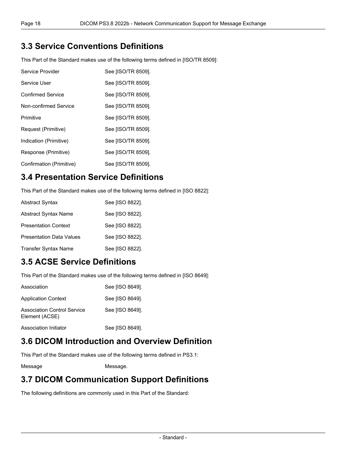## **3.3 Service Conventions Definitions**

This Part of the Standard makes use of the following terms defined in [\[ISO/TR](#page-14-4) 8509]:

| Service Provider         | See [ISO/TR 8509]. |
|--------------------------|--------------------|
| Service User             | See [ISO/TR 8509]. |
| <b>Confirmed Service</b> | See [ISO/TR 8509]. |
| Non-confirmed Service    | See [ISO/TR 8509]. |
| Primitive                | See [ISO/TR 8509]. |
| Request (Primitive)      | See [ISO/TR 8509]. |
| Indication (Primitive)   | See [ISO/TR 8509]. |
| Response (Primitive)     | See [ISO/TR 8509]. |
| Confirmation (Primitive) | See [ISO/TR 8509]. |

## **3.4 Presentation Service Definitions**

This Part of the Standard makes use of the following terms defined in [ISO [8822\]](#page-14-5):

| Abstract Syntax                 | See [ISO 8822]. |
|---------------------------------|-----------------|
| <b>Abstract Syntax Name</b>     | See [ISO 8822]. |
| <b>Presentation Context</b>     | See [ISO 8822]. |
| <b>Presentation Data Values</b> | See [ISO 8822]. |
| <b>Transfer Syntax Name</b>     | See [ISO 8822]. |

## **3.5 ACSE Service Definitions**

This Part of the Standard makes use of the following terms defined in [ISO [8649\]](#page-14-6):

| Association                                          | See [ISO 8649]. |
|------------------------------------------------------|-----------------|
| <b>Application Context</b>                           | See [ISO 8649]. |
| <b>Association Control Service</b><br>Element (ACSE) | See [ISO 8649]. |
| Association Initiator                                | See [ISO 8649]. |

### **3.6 DICOM Introduction and Overview Definition**

This Part of the Standard makes use of the following terms defined in [PS3.1:](part01.pdf#PS3.1)

Message [Message.](part01.pdf#glossentry_Message)

### **3.7 DICOM Communication Support Definitions**

The following definitions are commonly used in this Part of the Standard: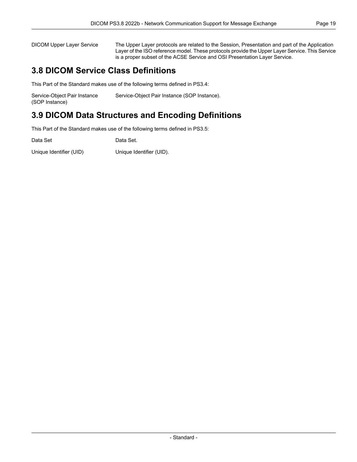DICOM Upper Layer Service The Upper Layer protocols are related to the Session, Presentation and part of the Application Layer of the ISO reference model. These protocols provide the Upper Layer Service. This Service is a proper subset of the ACSE Service and OSI Presentation Layer Service.

## **3.8 DICOM Service Class Definitions**

This Part of the Standard makes use of the following terms defined in [PS3.4:](part04.pdf#PS3.4)

| Service-Object Pair Instance | Service-Object Pair Instance (SOP Instance). |
|------------------------------|----------------------------------------------|
| (SOP Instance)               |                                              |

## **3.9 DICOM Data Structures and Encoding Definitions**

This Part of the Standard makes use of the following terms defined in [PS3.5:](part05.pdf#PS3.5)

| Data Set                | Data Set.                |
|-------------------------|--------------------------|
| Unique Identifier (UID) | Unique Identifier (UID). |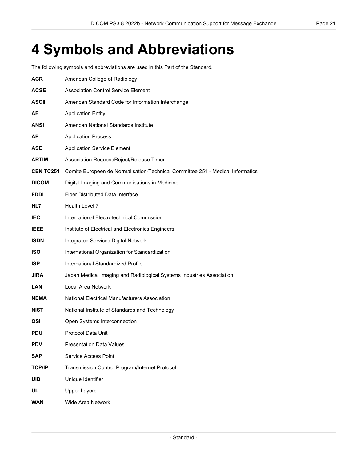# <span id="page-20-0"></span>**4 Symbols and Abbreviations**

The following symbols and abbreviations are used in this Part of the Standard.

| <b>ACR</b>       | American College of Radiology                                                  |
|------------------|--------------------------------------------------------------------------------|
| <b>ACSE</b>      | <b>Association Control Service Element</b>                                     |
| <b>ASCII</b>     | American Standard Code for Information Interchange                             |
| AE               | <b>Application Entity</b>                                                      |
| ANSI             | American National Standards Institute                                          |
| AP               | <b>Application Process</b>                                                     |
| ASE              | <b>Application Service Element</b>                                             |
| ARTIM            | Association Request/Reject/Release Timer                                       |
| <b>CEN TC251</b> | Comite Europeen de Normalisation-Technical Committee 251 - Medical Informatics |
| <b>DICOM</b>     | Digital Imaging and Communications in Medicine                                 |
| <b>FDDI</b>      | <b>Fiber Distributed Data Interface</b>                                        |
| HL7              | Health Level 7                                                                 |
| <b>IEC</b>       | International Electrotechnical Commission                                      |
| <b>IEEE</b>      | Institute of Electrical and Electronics Engineers                              |
| <b>ISDN</b>      | <b>Integrated Services Digital Network</b>                                     |
| <b>ISO</b>       | International Organization for Standardization                                 |
| <b>ISP</b>       | International Standardized Profile                                             |
| JIRA             | Japan Medical Imaging and Radiological Systems Industries Association          |
| LAN              | Local Area Network                                                             |
| <b>NEMA</b>      | National Electrical Manufacturers Association                                  |
| <b>NIST</b>      | National Institute of Standards and Technology                                 |
| OSI              | Open Systems Interconnection                                                   |
| PDU              | Protocol Data Unit                                                             |
| <b>PDV</b>       | <b>Presentation Data Values</b>                                                |
| <b>SAP</b>       | Service Access Point                                                           |
| <b>TCP/IP</b>    | Transmission Control Program/Internet Protocol                                 |
| <b>UID</b>       | Unique Identifier                                                              |
| <b>UL</b>        | <b>Upper Layers</b>                                                            |
| <b>WAN</b>       | Wide Area Network                                                              |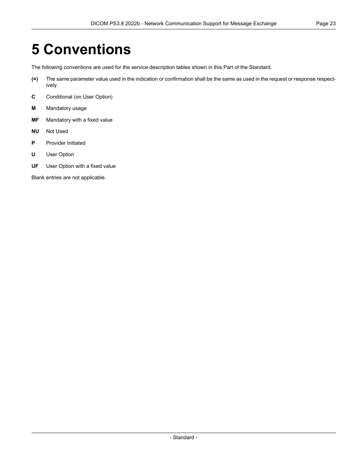# <span id="page-22-0"></span>**5 Conventions**

The following conventions are used for the service description tables shown in this Part of the Standard.

- **(=)** The same parameter value used in the indication or confirmation shall be the same as used in the request or response respect ively.
- **C** Conditional (on User Option)
- **M** Mandatory usage
- **MF** Mandatory with a fixed value
- **NU** Not Used
- **P** Provider Initiated
- **U** User Option
- **UF** User Option with a fixed value

Blank entries are not applicable.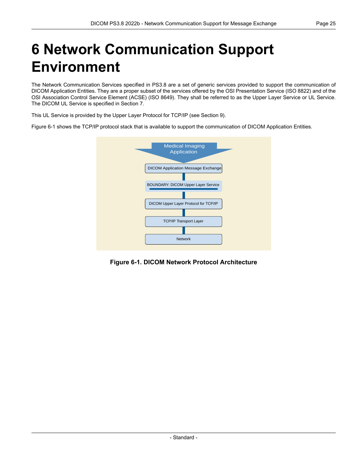# <span id="page-24-0"></span>**6 Network Communication Support Environment**

The Network Communication Services specified in [PS3.8](#page-0-0) are a set of generic services provided to support the communication of DICOM Application Entities. They are a proper subset of the services offered by the OSI Presentation Service (ISO 8822) and of the OSI Association Control Service Element (ACSE) (ISO 8649). They shall be referred to as the Upper Layer Service or UL Service. The DICOM UL Service is specified in Section 7.

This UL Service is provided by the Upper Layer Protocol for TCP/IP (see Section 9).

<span id="page-24-1"></span>[Figure](#page-24-1) 6-1 shows the TCP/IP protocol stack that is available to support the communication of DICOM Application Entities.



**Figure 6-1. DICOM Network Protocol Architecture**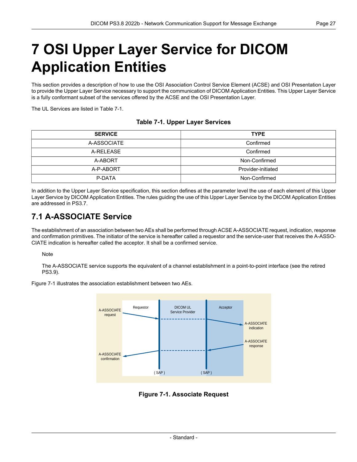# <span id="page-26-0"></span>**7 OSI Upper Layer Service for DICOM Application Entities**

This section provides a description of how to use the OSI Association Control Service Element (ACSE) and OSI Presentation Layer to provide the Upper Layer Service necessary to support the communication of DICOM Application Entities. This Upper Layer Service is a fully conformant subset of the services offered by the ACSE and the OSI Presentation Layer.

<span id="page-26-3"></span>The UL Services are listed in [Table](#page-26-3) 7-1.

#### **Table 7-1. Upper Layer Services**

| <b>SERVICE</b> | <b>TYPE</b>        |  |
|----------------|--------------------|--|
| A-ASSOCIATE    | Confirmed          |  |
| A-RELEASE      | Confirmed          |  |
| A-ABORT        | Non-Confirmed      |  |
| A-P-ABORT      | Provider-initiated |  |
| P-DATA         | Non-Confirmed      |  |

<span id="page-26-1"></span>In addition to the Upper Layer Service specification, this section defines at the parameter level the use of each element of this Upper Layer Service by DICOM Application Entities. The rules guiding the use of this Upper Layer Service by the DICOM Application Entities are addressed in [PS3.7.](part07.pdf#PS3.7)

### **7.1 A-ASSOCIATE Service**

The establishment of an association between two AEs shall be performed through ACSE A-ASSOCIATE request, indication, response and confirmation primitives. The initiator of the service is hereafter called a requestor and the service-user that receives the A-ASSO- CIATE indication is hereafter called the acceptor. It shall be a confirmed service.

#### Note

<span id="page-26-2"></span>The A-ASSOCIATE service supports the equivalent of a channel establishment in a point-to-point interface (see the retired PS3.9).

[Figure](#page-26-2) 7-1 illustrates the association establishment between two AEs.



**Figure 7-1. Associate Request**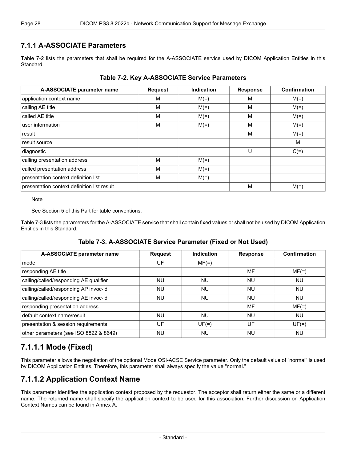#### <span id="page-27-0"></span>**7.1.1 A-ASSOCIATE Parameters**

<span id="page-27-3"></span>[Table](#page-27-3) 7-2 lists the parameters that shall be required for the A-ASSOCIATE service used by DICOM Application Entities in this Standard.

| A-ASSOCIATE parameter name                  | <b>Request</b> | <b>Indication</b> | <b>Response</b> | Confirmation |
|---------------------------------------------|----------------|-------------------|-----------------|--------------|
| application context name                    | M              | $M(=)$            | м               | $M(=)$       |
| calling AE title                            | M              | $M(=)$            | M               | $M(=)$       |
| called AE title                             | M              | $M(=)$            | M               | $M(=)$       |
| user information                            | M              | $M(=)$            | M               | $M(=)$       |
| result                                      |                |                   | M               | $M(=)$       |
| result source                               |                |                   |                 | M            |
| diagnostic                                  |                |                   | U               | $C(=)$       |
| calling presentation address                | M              | $M(=)$            |                 |              |
| called presentation address                 | M              | $M(=)$            |                 |              |
| presentation context definition list        | M              | $M(=)$            |                 |              |
| presentation context definition list result |                |                   | M               | $M(=)$       |

#### **Table 7-2. Key A-ASSOCIATE Service Parameters**

**Note** 

See Section 5 of this Part for table conventions.

<span id="page-27-4"></span>[Table](#page-27-4) 7-3 lists the parameters for the A-ASSOCIATE service that shall contain fixed values or shall not be used by DICOM Application Entities in this Standard.

#### **Table 7-3. A-ASSOCIATE Service Parameter (Fixed or Not Used)**

| A-ASSOCIATE parameter name             | <b>Request</b> | Indication | <b>Response</b> | Confirmation |
|----------------------------------------|----------------|------------|-----------------|--------------|
| mode                                   | UF             | $MF(=)$    |                 |              |
| responding AE title                    |                |            | MF              | $MF(=)$      |
| calling/called/responding AE qualifier | NU             | <b>NU</b>  | NU              | <b>NU</b>    |
| calling/called/responding AP invoc-id  | <b>NU</b>      | <b>NU</b>  | <b>NU</b>       | <b>NU</b>    |
| calling/called/responding AE invoc-id  | NU.            | <b>NU</b>  | <b>NU</b>       | <b>NU</b>    |
| responding presentation address        |                |            | MF              | $MF(=)$      |
| default context name/result            | NU             | <b>NU</b>  | <b>NU</b>       | <b>NU</b>    |
| presentation & session requirements    | UF             | $UF(=)$    | UF              | $UF(=)$      |
| other parameters (see ISO 8822 & 8649) | <b>NU</b>      | <b>NU</b>  | <b>NU</b>       | <b>NU</b>    |

#### <span id="page-27-2"></span><span id="page-27-1"></span>**7.1.1.1 Mode (Fixed)**

This parameter allows the negotiation of the optional Mode OSI-ACSE Service parameter. Only the default value of "normal" is used by DICOM Application Entities. Therefore, this parameter shall always specify the value "normal."

#### **7.1.1.2 Application Context Name**

This parameter identifies the application context proposed by the requestor. The acceptor shall return either the same or a different name. The returned name shall specify the application context to be used for this association. Further discussion on Application Context Names can be found in [Annex](#page-58-0) A.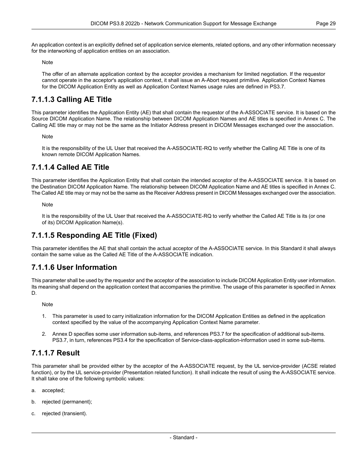An application context is an explicitly defined set of application service elements, related options, and any other information necessary for the interworking of application entities on an association.

**Note** 

The offer of an alternate application context by the acceptor provides a mechanism for limited negotiation. If the requestor cannot operate in the acceptor's application context, it shall issue an A-Abort request primitive. Application Context Names for the DICOM Application Entity as well as Application Context Names usage rules are defined in [PS3.7](part07.pdf#PS3.7).

#### <span id="page-28-0"></span>**7.1.1.3 Calling AE Title**

This parameter identifies the Application Entity (AE) that shall contain the requestor of the A-ASSOCIATE service. It is based on the Source DICOM Application Name. The relationship between DICOM Application Names and AE titles is specified in [Annex](#page-62-0) C. The Calling AE title may or may not be the same as the Initiator Address present in DICOM Messages exchanged over the association.

Note

<span id="page-28-1"></span>It is the responsibility of the UL User that received the A-ASSOCIATE-RQ to verify whether the Calling AE Title is one of its known remote DICOM Application Names.

#### **7.1.1.4 Called AE Title**

This parameter identifies the Application Entity that shall contain the intended acceptor of the A-ASSOCIATE service. It is based on the Destination DICOM Application Name. The relationship between DICOM Application Name and AE titles is specified in [Annex](#page-62-0) C. The Called AE title may or may not be the same as the Receiver Address present in DICOM Messages exchanged over the association.

<span id="page-28-2"></span>**Note** 

It is the responsibility of the UL User that received the A-ASSOCIATE-RQ to verify whether the Called AE Title is its (or one of its) DICOM Application Name(s).

#### <span id="page-28-3"></span>**7.1.1.5 Responding AE Title (Fixed)**

This parameter identifies the AE that shall contain the actual acceptor of the A-ASSOCIATE service. In this Standard it shall always contain the same value as the Called AE Title of the A-ASSOCIATE indication.

#### **7.1.1.6 User Information**

This parameter shall be used by the requestor and the acceptor of the association to include DICOM Application Entity user information. Its meaning shall depend on the application context that accompanies the primitive. The usage of this parameter is specified in [Annex](#page-64-0) [D](#page-64-0).

**Note** 

- <span id="page-28-4"></span>1. This parameter is used to carry initialization information for the DICOM Application Entities as defined in the application context specified by the value of the accompanying Application Context Name parameter.
- 2. [Annex](#page-64-0) D specifies some user information sub-items, and references [PS3.7](part07.pdf#PS3.7) for the specification of additional sub-items. [PS3.7](part07.pdf#PS3.7), in turn, references [PS3.4](part04.pdf#PS3.4) for the specification of Service-class-application-information used in some sub-items.

#### **7.1.1.7 Result**

This parameter shall be provided either by the acceptor of the A-ASSOCIATE request, by the UL service-provider (ACSE related function), or by the UL service-provider (Presentation related function). It shall indicate the result of using the A-ASSOCIATE service. It shall take one of the following symbolic values:

- a. accepted;
- b. rejected (permanent);
- c. rejected (transient).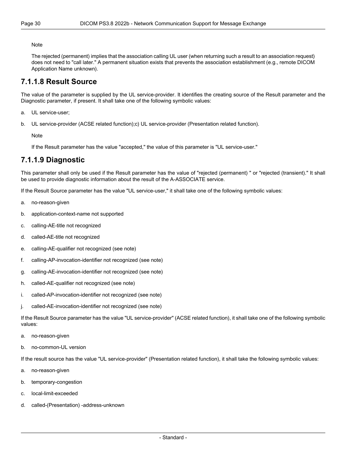The rejected (permanent) implies that the association calling UL user (when returning such a result to an association request) does not need to "call later." A permanent situation exists that prevents the association establishment (e.g., remote DICOM Application Name unknown).

#### <span id="page-29-0"></span>**7.1.1.8 Result Source**

The value of the parameter is supplied by the UL service-provider. It identifies the creating source of the Result parameter and the Diagnostic parameter, if present. It shall take one of the following symbolic values:

- a. UL service-user;
- b. UL service-provider (ACSE related function);c) UL service-provider (Presentation related function).

<span id="page-29-1"></span>Note

If the Result parameter has the value "accepted," the value of this parameter is "UL service-user."

#### **7.1.1.9 Diagnostic**

This parameter shall only be used if the Result parameter has the value of "rejected (permanent) " or "rejected (transient)." It shall be used to provide diagnostic information about the result of the A-ASSOCIATE service.

If the Result Source parameter has the value "UL service-user," it shall take one of the following symbolic values:

- a. no-reason-given
- b. application-context-name not supported
- c. calling-AE-title not recognized
- d. called-AE-title not recognized
- e. calling-AE-qualifier not recognized (see note)
- f. calling-AP-invocation-identifier not recognized (see note)
- g. calling-AE-invocation-identifier not recognized (see note)
- h. called-AE-qualifier not recognized (see note)
- i. called-AP-invocation-identifier not recognized (see note)
- j. called-AE-invocation-identifier not recognized (see note)

If the Result Source parameter has the value "UL service-provider" (ACSE related function), it shall take one of the following symbolic values:

- a. no-reason-given
- b. no-common-UL version

If the result source has the value "UL service-provider" (Presentation related function), it shall take the following symbolic values:

- a. no-reason-given
- b. temporary-congestion
- c. local-limit-exceeded
- d. called-(Presentation) -address-unknown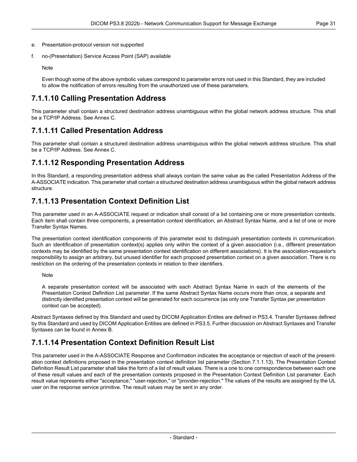- e. Presentation-protocol version not supported
- f. no-(Presentation) Service Access Point (SAP) available

<span id="page-30-0"></span>Even though some of the above symbolic values correspond to parameter errors not used in this Standard, they are included to allow the notification of errors resulting from the unauthorized use of these parameters.

#### **7.1.1.10 Calling Presentation Address**

<span id="page-30-1"></span>This parameter shall contain a structured destination address unambiguous within the global network address structure. This shall be a TCP/IP Address. See [Annex](#page-62-0) C.

#### **7.1.1.11 Called Presentation Address**

<span id="page-30-2"></span>This parameter shall contain a structured destination address unambiguous within the global network address structure. This shall be a TCP/IP Address. See [Annex](#page-62-0) C.

#### **7.1.1.12 Responding Presentation Address**

<span id="page-30-3"></span>In this Standard, a responding presentation address shall always contain the same value as the called Presentation Address of the A-ASSOCIATE indication. This parameter shall contain a structured destination address unambiguous within the global network address structure.

#### **7.1.1.13 Presentation Context Definition List**

This parameter used in an A-ASSOCIATE request or indication shall consist of a list containing one or more presentation contexts. Each item shall contain three components, a presentation context identification, an Abstract Syntax Name, and a list of one or more Transfer Syntax Names.

The presentation context identification components of this parameter exist to distinguish presentation contexts in communication. Such an identification of presentation context(s) applies only within the context of a given association (i.e., different presentation contexts may be identified by the same presentation context identification on different associations). It is the association-requestor's responsibility to assign an arbitrary, but unused identifier for each proposed presentation context on a given association. There is no restriction on the ordering of the presentation contexts in relation to their identifiers.

Note

A separate presentation context will be associated with each Abstract Syntax Name in each of the elements of the Presentation Context Definition List parameter. If the same Abstract Syntax Name occurs more than once, a separate and distinctly identified presentation context will be generated for each occurrence (as only one Transfer Syntax per presentation context can be accepted).

<span id="page-30-4"></span>Abstract Syntaxes defined by this Standard and used by DICOM Application Entites are defined in [PS3.4.](part04.pdf#PS3.4) Transfer Syntaxes defined by this Standard and used by DICOM Application Entities are defined in [PS3.5.](part05.pdf#PS3.5) Further discussion on Abstract Syntaxes and Transfer Syntaxes can be found in [Annex](#page-60-0) B.

#### **7.1.1.14 Presentation Context Definition Result List**

This parameter used in the A-ASSOCIATE Response and Confirmation indicates the acceptance or rejection of each of the present ation context definitions proposed in the presentation context definition list parameter (Section [7.1.1.13](#page-30-3)). The Presentation Context Definition Result List parameter shall take the form of a list of result values. There is a one to one correspondence between each one of these result values and each of the presentation contexts proposed in the Presentation Context Definition List parameter. Each result value represents either "acceptance," "user-rejection," or "provider-rejection." The values of the results are assigned by the UL user on the response service primitive. The result values may be sent in any order.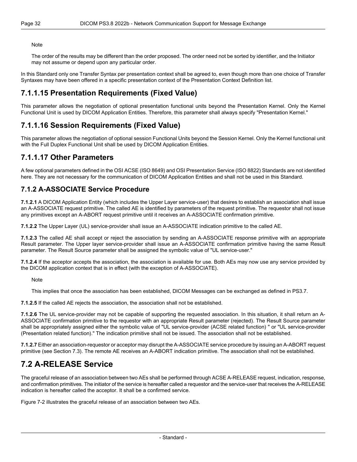The order of the results may be different than the order proposed. The order need not be sorted by identifier, and the Initiator may not assume or depend upon any particular order.

<span id="page-31-0"></span>In this Standard only one Transfer Syntax per presentation context shall be agreed to, even though more than one choice of Transfer Syntaxes may have been offered in a specific presentation context of the Presentation Context Definition list.

#### **7.1.1.15 Presentation Requirements (Fixed Value)**

<span id="page-31-1"></span>This parameter allows the negotiation of optional presentation functional units beyond the Presentation Kernel. Only the Kernel Functional Unit is used by DICOM Application Entities. Therefore, this parameter shall always specify "Presentation Kernel."

#### **7.1.1.16 Session Requirements (Fixed Value)**

<span id="page-31-2"></span>This parameter allows the negotiation of optional session Functional Units beyond the Session Kernel. Only the Kernel functional unit with the Full Duplex Functional Unit shall be used by DICOM Application Entities.

#### **7.1.1.17 Other Parameters**

<span id="page-31-3"></span>A few optional parameters defined in the OSI ACSE (ISO 8649) and OSI Presentation Service (ISO 8822) Standards are not identified here. They are not necessary for the communication of DICOM Application Entities and shall not be used in this Standard.

#### **7.1.2 A-ASSOCIATE Service Procedure**

**7.1.2.1** A DICOM Application Entity (which includes the Upper Layer service-user) that desires to establish an association shall issue an A-ASSOCIATE request primitive. The called AE is identified by parameters of the request primitive. The requestor shall not issue any primitives except an A-ABORT request primitive until it receives an A-ASSOCIATE confirmation primitive.

**7.1.2.2** The Upper Layer (UL) service-provider shall issue an A-ASSOCIATE indication primitive to the called AE.

**7.1.2.3** The called AE shall accept or reject the association by sending an A-ASSOCIATE response primitive with an appropriate Result parameter. The Upper layer service-provider shall issue an A-ASSOCIATE confirmation primitive having the same Result parameter. The Result Source parameter shall be assigned the symbolic value of "UL service-user."

**7.1.2.4** If the acceptor accepts the association, the association is available for use. Both AEs may now use any service provided by the DICOM application context that is in effect (with the exception of A-ASSOCIATE).

Note

This implies that once the association has been established, DICOM Messages can be exchanged as defined in [PS3.7.](part07.pdf#PS3.7)

**7.1.2.5** If the called AE rejects the association, the association shall not be established.

<span id="page-31-4"></span>**7.1.2.6** The UL service-provider may not be capable of supporting the requested association. In this situation, it shall return an A- ASSOCIATE confirmation primitive to the requestor with an appropriate Result parameter (rejected). The Result Source parameter shall be appropriately assigned either the symbolic value of "UL service-provider (ACSE related function) " or "UL service-provider (Presentation related function)." The indication primitive shall not be issued. The association shall not be established.

**7.1.2.7** Either an association-requestor or acceptor may disrupt the A-ASSOCIATE service procedure by issuing an A-ABORT request primitive (see [Section](#page-33-0) 7.3). The remote AE receives an A-ABORT indication primitive. The association shall not be established.

### **7.2 A-RELEASE Service**

The graceful release of an association between two AEs shall be performed through ACSE A-RELEASE request, indication, response, and confirmation primitives. The initiator of the service is hereafter called a requestor and the service-user that receives the A-RELEASE indication is hereafter called the acceptor. It shall be a confirmed service.

[Figure](#page-32-4) 7-2 illustrates the graceful release of an association between two AEs.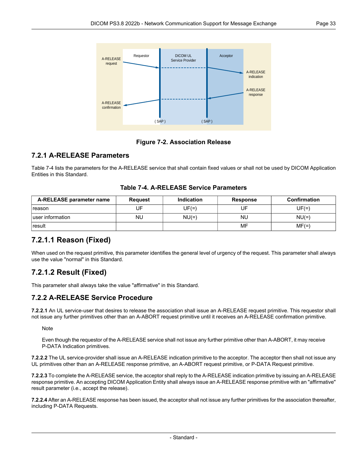<span id="page-32-4"></span>

**Figure 7-2. Association Release**

#### <span id="page-32-0"></span>**7.2.1 A-RELEASE Parameters**

<span id="page-32-5"></span>[Table](#page-32-5) 7-4 lists the parameters for the A-RELEASE service that shall contain fixed values or shall not be used by DICOM Application Entities in this Standard.

<span id="page-32-1"></span>

| A-RELEASE parameter name | Request | <b>Indication</b> | <b>Response</b> | <b>Confirmation</b> |
|--------------------------|---------|-------------------|-----------------|---------------------|
| reason                   | UF      | $UF(=)$           | UF              | $UF(=)$             |
| luser information        | NU      | $NU(=)$           | NU              | $NU(=)$             |
| result                   |         |                   | MF              | $MF(=)$             |

#### **Table 7-4. A-RELEASE Service Parameters**

#### <span id="page-32-2"></span>**7.2.1.1 Reason (Fixed)**

When used on the request primitive, this parameter identifies the general level of urgency of the request. This parameter shall always use the value "normal" in this Standard.

### <span id="page-32-3"></span>**7.2.1.2 Result (Fixed)**

This parameter shall always take the value "affirmative" in this Standard.

#### **7.2.2 A-RELEASE Service Procedure**

**7.2.2.1** An UL service-user that desires to release the association shall issue an A-RELEASE request primitive. This requestor shall not issue any further primitives other than an A-ABORT request primitive until it receives an A-RELEASE confirmation primitive.

**Note** 

Even though the requestor of the A-RELEASE service shall not issue any further primitive other than A-ABORT, it may receive P-DATA Indication primitives.

**7.2.2.2** The UL service-provider shall issue an A-RELEASE indication primitive to the acceptor. The acceptor then shall not issue any UL primitives other than an A-RELEASE response primitive, an A-ABORT request primitive, or P-DATA Request primitive.

**7.2.2.3** To complete the A-RELEASE service, the acceptor shall reply to the A-RELEASE indication primitive by issuing an A-RELEASE response primitive. An accepting DICOM Application Entity shall always issue an A-RELEASE response primitive with an "affirmative" result parameter (i.e., accept the release).

**7.2.2.4** After an A-RELEASE response has been issued, the acceptor shall not issue any further primitives for the association thereafter, including P-DATA Requests.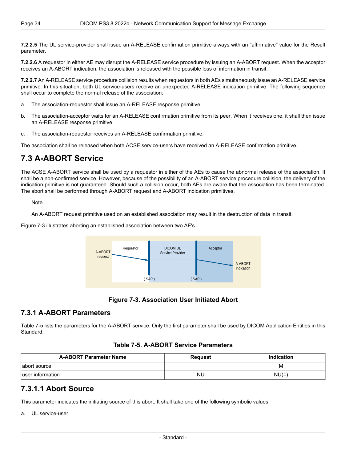**7.2.2.5** The UL service-provider shall issue an A-RELEASE confirmation primitive always with an "affirmative" value for the Result parameter.

**7.2.2.6** A requestor in either AE may disrupt the A-RELEASE service procedure by issuing an A-ABORT request. When the acceptor receives an A-ABORT indication, the association is released with the possible loss of information in transit.

**7.2.2.7** An A-RELEASE service procedure collision results when requestors in both AEs simultaneously issue an A-RELEASE service primitive. In this situation, both UL service-users receive an unexpected A-RELEASE indication primitive. The following sequence shall occur to complete the normal release of the association:

- a. The association-requestor shall issue an A-RELEASE response primitive.
- b. The association-acceptor waits for an A-RELEASE confirmation primitive from its peer. When it receives one, it shall then issue an A-RELEASE response primitive.
- <span id="page-33-0"></span>c. The association-requestor receives an A-RELEASE confirmation primitive.

The association shall be released when both ACSE service-users have received an A-RELEASE confirmation primitive.

#### **7.3 A-ABORT Service**

The ACSE A-ABORT service shall be used by a requestor in either of the AEs to cause the abnormal release of the association. It shall be a non-confirmed service. However, because of the possibility of an A-ABORT service procedure collision, the delivery of the indication primitive is not guaranteed. Should such a collision occur, both AEs are aware that the association has been terminated. The abort shall be performed through A-ABORT request and A-ABORT indication primitives.

**Note** 

An A-ABORT request primitive used on an established association may result in the destruction of data in transit.

<span id="page-33-3"></span>[Figure](#page-33-3) 7-3 illustrates aborting an established association between two AE's.



#### **Figure 7-3. Association User Initiated Abort**

#### <span id="page-33-4"></span><span id="page-33-1"></span>**7.3.1 A-ABORT Parameters**

[Table](#page-33-4) 7-5 lists the parameters for the A-ABORT service. Only the first parameter shall be used by DICOM Application Entities in this Standard.

#### **Table 7-5. A-ABORT Service Parameters**

<span id="page-33-2"></span>

| <b>A-ABORT Parameter Name</b> | Request   | <b>Indication</b> |
|-------------------------------|-----------|-------------------|
| abort source                  |           | M                 |
| luser information             | <b>NU</b> | $NU(=)$           |

#### **7.3.1.1 Abort Source**

This parameter indicates the initiating source of this abort. It shall take one of the following symbolic values:

a. UL service-user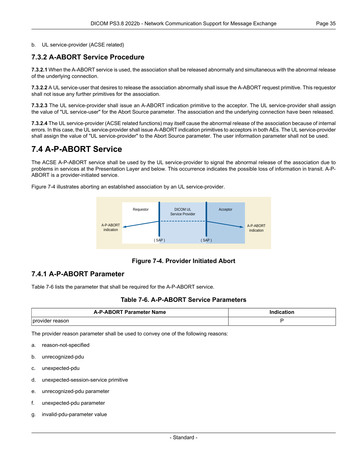#### <span id="page-34-0"></span>b. UL service-provider (ACSE related)

#### **7.3.2 A-ABORT Service Procedure**

**7.3.2.1** When the A-ABORT service is used, the association shall be released abnormally and simultaneous with the abnormal release of the underlying connection.

**7.3.2.2** A UL service-user that desires to release the association abnormally shall issue the A-ABORT request primitive. This requestor shall not issue any further primitives for the association.

**7.3.2.3** The UL service-provider shall issue an A-ABORT indication primitive to the acceptor. The UL service-provider shall assign the value of "UL service-user" for the Abort Source parameter. The association and the underlying connection have been released.

<span id="page-34-1"></span>**7.3.2.4** The UL service-provider (ACSE related functions) may itself cause the abnormal release of the association because of internal errors. In this case, the UL service-provider shall issue A-ABORT indication primitives to acceptors in both AEs. The UL service-provider shall assign the value of "UL service-provider" to the Abort Source parameter. The user information parameter shall not be used.

#### **7.4 A-P-ABORT Service**

The ACSE A-P-ABORT service shall be used by the UL service-provider to signal the abnormal release of the association due to problems in services at the Presentation Layer and below. This occurrence indicates the possible loss of information in transit. A-P- ABORT is a provider-initiated service.

<span id="page-34-3"></span>[Figure](#page-34-3) 7-4 illustrates aborting an established association by an UL service-provider.



**Figure 7-4. Provider Initiated Abort**

#### <span id="page-34-4"></span><span id="page-34-2"></span>**7.4.1 A-P-ABORT Parameter**

[Table](#page-34-4) 7-6 lists the parameter that shall be required for the A-P-ABORT service.

#### **Table 7-6. A-P-ABORT Service Parameters**

| <b>A-P-ARORT Parameter Name</b> | ------ |  |
|---------------------------------|--------|--|
|                                 |        |  |
|                                 |        |  |
| provi<br>asor<br>$  -$          |        |  |

The provider reason parameter shall be used to convey one of the following reasons:

- a. reason-not-specified
- b. unrecognized-pdu
- c. unexpected-pdu
- d. unexpected-session-service primitive
- e. unrecognized-pdu parameter
- f. unexpected-pdu parameter
- g. invalid-pdu-parameter value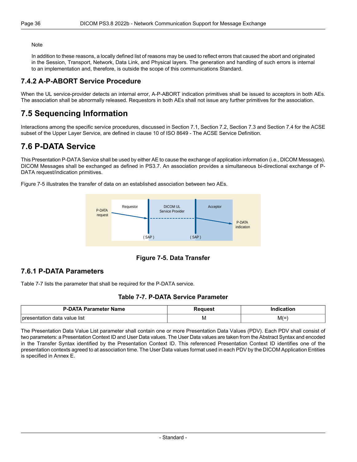In addition to these reasons, a locally defined list of reasons may be used to reflect errors that caused the abort and originated in the Session, Transport, Network, Data Link, and Physical layers. The generation and handling of such errors is internal to an implementation and, therefore, is outside the scope of this communications Standard.

#### <span id="page-35-0"></span>**7.4.2 A-P-ABORT Service Procedure**

<span id="page-35-1"></span>When the UL service-provider detects an internal error, A-P-ABORT indication primitives shall be issued to acceptors in both AEs. The association shall be abnormally released. Requestors in both AEs shall not issue any further primitives for the association.

## **7.5 Sequencing Information**

<span id="page-35-2"></span>Interactions among the specific service procedures, discussed in [Section](#page-26-1) 7.1, [Section](#page-31-4) 7.2, [Section](#page-33-0) 7.3 and [Section](#page-34-1) 7.4 for the ACSE subset of the Upper Layer Service, are defined in clause 10 of ISO 8649 - The ACSE Service Definition.

### **7.6 P-DATA Service**

This Presentation P-DATA Service shall be used by either AE to cause the exchange of application information (i.e., DICOM Messages). DICOM Messages shall be exchanged as defined in [PS3.7.](part07.pdf#PS3.7) An association provides a simultaneous bi-directional exchange of P- DATA request/indication primitives.

<span id="page-35-4"></span>[Figure](#page-35-4) 7-5 illustrates the transfer of data on an established association between two AEs.



**Figure 7-5. Data Transfer**

#### <span id="page-35-5"></span><span id="page-35-3"></span>**7.6.1 P-DATA Parameters**

[Table](#page-35-5) 7-7 lists the parameter that shall be required for the P-DATA service.

#### **Table 7-7. P-DATA Service Parameter**

| <b>P-DATA Parameter Name</b>       | eauest |        |
|------------------------------------|--------|--------|
| value list<br>data<br>nres<br>нано | M      | $M(=)$ |

The Presentation Data Value List parameter shall contain one or more Presentation Data Values (PDV). Each PDV shall consist of two parameters: a Presentation Context ID and User Data values. The User Data values are taken from the Abstract Syntax and encoded in the Transfer Syntax identified by the Presentation Context ID. This referenced Presentation Context ID identifies one of the presentation contexts agreed to at association time. The User Data values format used in each PDV by the DICOM Application Entities is specified in [Annex](#page-66-0) E.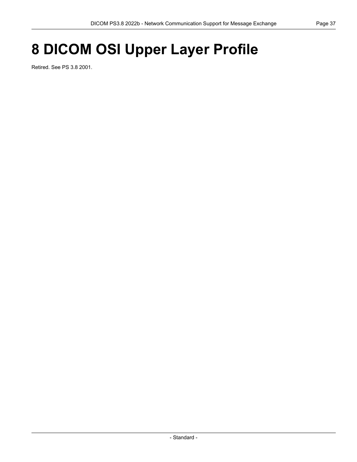## **8 DICOM OSI Upper Layer Profile**

Retired. See PS 3.8 2001.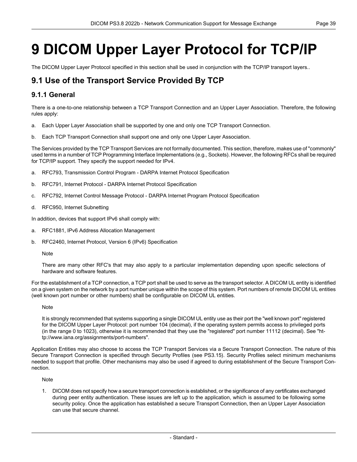## **9 DICOM Upper Layer Protocol for TCP/IP**

The DICOM Upper Layer Protocol specified in this section shall be used in conjunction with the TCP/IP transport layers..

## **9.1 Use of the Transport Service Provided By TCP**

#### **9.1.1 General**

There is a one-to-one relationship between a TCP Transport Connection and an Upper Layer Association. Therefore, the following rules apply:

- a. Each Upper Layer Association shall be supported by one and only one TCP Transport Connection.
- b. Each TCP Transport Connection shall support one and only one Upper Layer Association.

The Services provided by the TCP Transport Services are not formally documented. This section, therefore, makes use of "commonly" used terms in a number of TCP Programming Interface Implementations (e.g., Sockets). However, the following RFCs shall be required for TCP/IP support. They specify the support needed for IPv4.

- a. RFC793, Transmission Control Program DARPA Internet Protocol Specification
- b. RFC791, Internet Protocol DARPA Internet Protocol Specification
- c. RFC792, Internet Control Message Protocol DARPA Internet Program Protocol Specification
- d. RFC950, Internet Subnetting

In addition, devices that support IPv6 shall comply with:

- a. RFC1881, IPv6 Address Allocation Management
- b. RFC2460, Internet Protocol, Version 6 (IPv6) Specification

#### Note

There are many other RFC's that may also apply to a particular implementation depending upon specific selections of hardware and software features.

For the establishment of a TCP connection, a TCP port shall be used to serve as the transport selector. A DICOM UL entity is identified on a given system on the network by a port number unique within the scope of this system. Port numbers of remote DICOM UL entities (well known port number or other numbers) shall be configurable on DICOM UL entities.

#### **Note**

It is strongly recommended that systems supporting a single DICOM UL entity use as their port the "well known port" registered for the DICOM Upper Layer Protocol: port number 104 (decimal), if the operating system permits access to privileged ports (in the range 0 to 1023), otherwise it is recommended that they use the "registered" port number 11112 (decimal). See "ht tp://www.iana.org/assignments/port-numbers".

Application Entities may also choose to access the TCP Transport Services via a Secure Transport Connection. The nature of this Secure Transport Connection is specified through Security Profiles (see [PS3.15](part15.pdf#PS3.15)). Security Profiles select minimum mechanisms needed to support that profile. Other mechanisms may also be used if agreed to during establishment of the Secure Transport Con nection.

#### Note

1. DICOM does not specify how a secure transport connection is established, or the significance of any certificates exchanged during peer entity authentication. These issues are left up to the application, which is assumed to be following some security policy. Once the application has established a secure Transport Connection, then an Upper Layer Association can use that secure channel.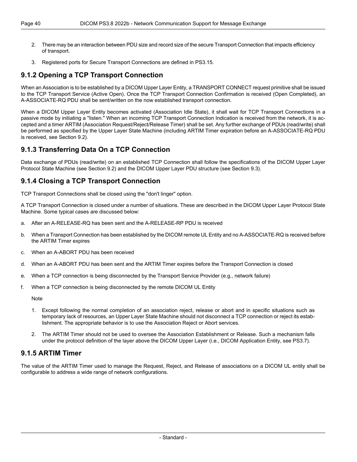- 2. There may be an interaction between PDU size and record size of the secure Transport Connection that impacts efficiency of transport.
- 3. Registered ports for Secure Transport Connections are defined in [PS3.15](part15.pdf#PS3.15).

#### **9.1.2 Opening a TCP Transport Connection**

When an Association is to be established by a DICOM Upper Layer Entity, a TRANSPORT CONNECT request primitive shall be issued to the TCP Transport Service (Active Open). Once the TCP Transport Connection Confirmation is received (Open Completed), an A-ASSOCIATE-RQ PDU shall be sent/written on the now established transport connection.

When a DICOM Upper Layer Entity becomes activated (Association Idle State), it shall wait for TCP Transport Connections in a passive mode by initiating a "listen." When an incoming TCP Transport Connection Indication is received from the network, it is ac cepted and a timer ARTIM (Association Request/Reject/Release Timer) shall be set. Any further exchange of PDUs (read/write) shall be performed as specified by the Upper Layer State Machine (including ARTIM Timer expiration before an A-ASSOCIATE-RQ PDU is received, see [Section](#page-40-0) 9.2).

#### **9.1.3 Transferring Data On a TCP Connection**

Data exchange of PDUs (read/write) on an established TCP Connection shall follow the specifications of the DICOM Upper Layer Protocol State Machine (see [Section](#page-40-0) 9.2) and the DICOM Upper Layer PDU structure (see [Section](#page-44-0) 9.3).

#### **9.1.4 Closing a TCP Transport Connection**

TCP Transport Connections shall be closed using the "don't linger" option.

A TCP Transport Connection is closed under a number of situations. These are described in the DICOM Upper Layer Protocol State Machine. Some typical cases are discussed below:

- a. After an A-RELEASE-RQ has been sent and the A-RELEASE-RP PDU is received
- b. When a Transport Connection has been established by the DICOM remote UL Entity and no A-ASSOCIATE-RQ is received before the ARTIM Timer expires
- c. When an A-ABORT PDU has been received
- d. When an A-ABORT PDU has been sent and the ARTIM Timer expires before the Transport Connection is closed
- e. When a TCP connection is being disconnected by the Transport Service Provider (e.g., network failure)
- f. When a TCP connection is being disconnected by the remote DICOM UL Entity

**Note** 

- 1. Except following the normal completion of an association reject, release or abort and in specific situations such as temporary lack of resources, an Upper Layer State Machine should not disconnect a TCP connection or reject its estab lishment. The appropriate behavior is to use the Association Reject or Abort services.
- 2. The ARTIM Timer should not be used to oversee the Association Establishment or Release. Such a mechanism falls under the protocol definition of the layer above the DICOM Upper Layer (i.e., DICOM Application Entity, see [PS3.7\)](part07.pdf#PS3.7).

#### **9.1.5 ARTIM Timer**

The value of the ARTIM Timer used to manage the Request, Reject, and Release of associations on a DICOM UL entity shall be configurable to address a wide range of network configurations.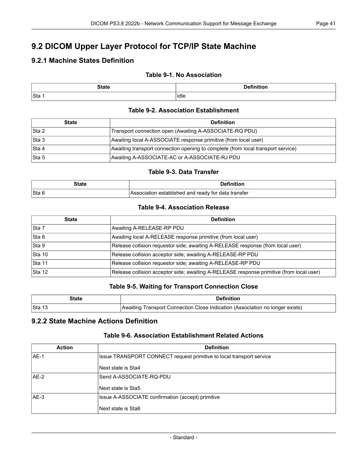## <span id="page-40-0"></span>**9.2 DICOM Upper Layer Protocol for TCP/IP State Machine**

## **9.2.1 Machine States Definition**

#### **Table 9-1. No Association**

| $C+0+0$<br>ວເaເe<br>- - - - - | .    |
|-------------------------------|------|
| <sup>l</sup> Sta √            | Idle |

#### **Table 9-2. Association Establishment**

| <b>State</b> | <b>Definition</b>                                                                |  |  |  |  |  |  |  |
|--------------|----------------------------------------------------------------------------------|--|--|--|--|--|--|--|
| Sta 2        | Transport connection open (Awaiting A-ASSOCIATE-RQ PDU)                          |  |  |  |  |  |  |  |
| Sta 3        | Awaiting local A-ASSOCIATE response primitive (from local user)                  |  |  |  |  |  |  |  |
| Sta 4        | Awaiting transport connection opening to complete (from local transport service) |  |  |  |  |  |  |  |
| Sta 5        | Awaiting A-ASSOCIATE-AC or A-ASSOCIATE-RJ PDU                                    |  |  |  |  |  |  |  |

#### **Table 9-3. Data Transfer**

| State  | <b>Definition</b>                                   |
|--------|-----------------------------------------------------|
| ∣Sta 6 | \ssociation established and ready for data transfer |

#### **Table 9-4. Association Release**

| <b>State</b> | <b>Definition</b>                                                                        |
|--------------|------------------------------------------------------------------------------------------|
| Sta 7        | Awaiting A-RELEASE-RP PDU                                                                |
| Sta 8        | Awaiting local A-RELEASE response primitive (from local user)                            |
| Sta 9        | Release collision requestor side; awaiting A-RELEASE response (from local user)          |
| Sta 10       | Release collision acceptor side; awaiting A-RELEASE-RP PDU                               |
| Sta 11       | Release collision requestor side; awaiting A-RELEASE-RP PDU                              |
| Sta 12       | Release collision acceptor side; awaiting A-RELEASE response primitive (from local user) |

#### **Table 9-5. Waiting for Transport Connection Close**

| State  | <b>Definition</b>                                                             |  |  |  |  |  |  |
|--------|-------------------------------------------------------------------------------|--|--|--|--|--|--|
| Sta 13 | Awaiting Transport Connection Close Indication (Association no longer exists) |  |  |  |  |  |  |

#### **9.2.2 State Machine Actions Definition**

#### **Table 9-6. Association Establishment Related Actions**

| <b>Action</b> | <b>Definition</b>                                                    |
|---------------|----------------------------------------------------------------------|
| $AE-1$        | Issue TRANSPORT CONNECT request primitive to local transport service |
|               | Next state is Sta4                                                   |
| AE-2          | Send A-ASSOCIATE-RQ-PDU                                              |
|               | Next state is Sta5                                                   |
| IAE-3         | Issue A-ASSOCIATE confirmation (accept) primitive                    |
|               | Next state is Sta6                                                   |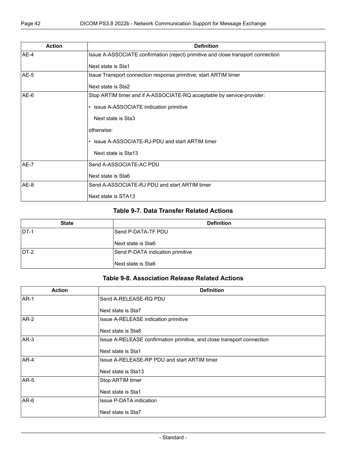| <b>Action</b> | <b>Definition</b>                                                                |  |  |  |  |  |  |  |
|---------------|----------------------------------------------------------------------------------|--|--|--|--|--|--|--|
| $AE-4$        | Issue A-ASSOCIATE confirmation (reject) primitive and close transport connection |  |  |  |  |  |  |  |
|               | Next state is Sta1                                                               |  |  |  |  |  |  |  |
| $AE-5$        | Issue Transport connection response primitive; start ARTIM timer                 |  |  |  |  |  |  |  |
|               | Next state is Sta2                                                               |  |  |  |  |  |  |  |
| $AE-6$        | Stop ARTIM timer and if A-ASSOCIATE-RQ acceptable by service-provider:           |  |  |  |  |  |  |  |
|               | • issue A-ASSOCIATE indication primitive                                         |  |  |  |  |  |  |  |
|               | Next state is Sta3                                                               |  |  |  |  |  |  |  |
|               | otherwise:                                                                       |  |  |  |  |  |  |  |
|               | • issue A-ASSOCIATE-RJ-PDU and start ARTIM timer                                 |  |  |  |  |  |  |  |
|               | Next state is Sta13                                                              |  |  |  |  |  |  |  |
| $AE-7$        | Send A-ASSOCIATE-AC PDU                                                          |  |  |  |  |  |  |  |
|               | Next state is Sta6                                                               |  |  |  |  |  |  |  |
| $AE-8$        | Send A-ASSOCIATE-RJ PDU and start ARTIM timer                                    |  |  |  |  |  |  |  |
|               | Next state is STA13                                                              |  |  |  |  |  |  |  |

#### **Table 9-7. Data Transfer Related Actions**

| <b>State</b> | <b>Definition</b>                |  |  |  |  |  |  |
|--------------|----------------------------------|--|--|--|--|--|--|
| DT-1         | Send P-DATA-TF PDU               |  |  |  |  |  |  |
|              | Next state is Sta6               |  |  |  |  |  |  |
| $DT-2$       | Send P-DATA indication primitive |  |  |  |  |  |  |
|              | Next state is Sta6               |  |  |  |  |  |  |

#### **Table 9-8. Association Release Related Actions**

| <b>Action</b> | <b>Definition</b>                                                      |  |  |  |  |  |  |  |
|---------------|------------------------------------------------------------------------|--|--|--|--|--|--|--|
| <b>AR-1</b>   | Send A-RELEASE-RQ PDU                                                  |  |  |  |  |  |  |  |
|               | Next state is Sta7                                                     |  |  |  |  |  |  |  |
| $AR-2$        | Issue A-RELEASE indication primitive                                   |  |  |  |  |  |  |  |
|               | Next state is Sta8                                                     |  |  |  |  |  |  |  |
| $AR-3$        | Issue A-RELEASE confirmation primitive, and close transport connection |  |  |  |  |  |  |  |
|               | Next state is Sta1                                                     |  |  |  |  |  |  |  |
| AR-4          | Issue A-RELEASE-RP PDU and start ARTIM timer                           |  |  |  |  |  |  |  |
|               | Next state is Sta13                                                    |  |  |  |  |  |  |  |
| AR-5          | Stop ARTIM timer                                                       |  |  |  |  |  |  |  |
|               | Next state is Sta1                                                     |  |  |  |  |  |  |  |
| $AR-6$        | <b>Issue P-DATA indication</b>                                         |  |  |  |  |  |  |  |
|               | Next state is Sta7                                                     |  |  |  |  |  |  |  |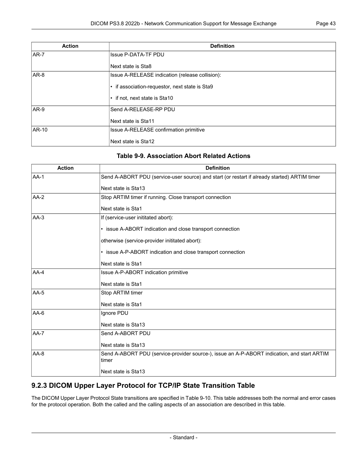| <b>Action</b> | <b>Definition</b>                                    |  |  |  |  |  |  |
|---------------|------------------------------------------------------|--|--|--|--|--|--|
| $AR-7$        | Issue P-DATA-TF PDU                                  |  |  |  |  |  |  |
|               | Next state is Sta8                                   |  |  |  |  |  |  |
| $AR-8$        | Issue A-RELEASE indication (release collision):      |  |  |  |  |  |  |
|               | $\cdot$ if association-requestor, next state is Sta9 |  |  |  |  |  |  |
|               | $\cdot$ if not, next state is Sta10                  |  |  |  |  |  |  |
| $AR-9$        | Send A-RELEASE-RP PDU                                |  |  |  |  |  |  |
|               | Next state is Sta11                                  |  |  |  |  |  |  |
| AR-10         | Issue A-RELEASE confirmation primitive               |  |  |  |  |  |  |
|               | Next state is Sta12                                  |  |  |  |  |  |  |

#### **Table 9-9. Association Abort Related Actions**

| <b>Action</b> | <b>Definition</b>                                                                                    |  |  |  |  |  |  |  |
|---------------|------------------------------------------------------------------------------------------------------|--|--|--|--|--|--|--|
| $AA-1$        | Send A-ABORT PDU (service-user source) and start (or restart if already started) ARTIM timer         |  |  |  |  |  |  |  |
|               | Next state is Sta13                                                                                  |  |  |  |  |  |  |  |
| AA-2          | Stop ARTIM timer if running. Close transport connection                                              |  |  |  |  |  |  |  |
|               | Next state is Sta1                                                                                   |  |  |  |  |  |  |  |
| $AA-3$        | If (service-user inititated abort):                                                                  |  |  |  |  |  |  |  |
|               | • issue A-ABORT indication and close transport connection                                            |  |  |  |  |  |  |  |
|               | otherwise (service-provider inititated abort):                                                       |  |  |  |  |  |  |  |
|               | • issue A-P-ABORT indication and close transport connection                                          |  |  |  |  |  |  |  |
|               | Next state is Sta1                                                                                   |  |  |  |  |  |  |  |
| $AA-4$        | Issue A-P-ABORT indication primitive                                                                 |  |  |  |  |  |  |  |
|               | Next state is Sta1                                                                                   |  |  |  |  |  |  |  |
| AA-5          | Stop ARTIM timer                                                                                     |  |  |  |  |  |  |  |
|               | Next state is Sta1                                                                                   |  |  |  |  |  |  |  |
| $AA-6$        | Ignore PDU                                                                                           |  |  |  |  |  |  |  |
|               | Next state is Sta13                                                                                  |  |  |  |  |  |  |  |
| $AA-7$        | Send A-ABORT PDU                                                                                     |  |  |  |  |  |  |  |
|               | Next state is Sta13                                                                                  |  |  |  |  |  |  |  |
| $AA-8$        | Send A-ABORT PDU (service-provider source-), issue an A-P-ABORT indication, and start ARTIM<br>timer |  |  |  |  |  |  |  |
|               | Next state is Sta13                                                                                  |  |  |  |  |  |  |  |

### **9.2.3 DICOM Upper Layer Protocol for TCP/IP State Transition Table**

The DICOM Upper Layer Protocol State transitions are specified in [Table](#page-43-0) 9-10. This table addresses both the normal and error cases for the protocol operation. Both the called and the calling aspects of an association are described in this table.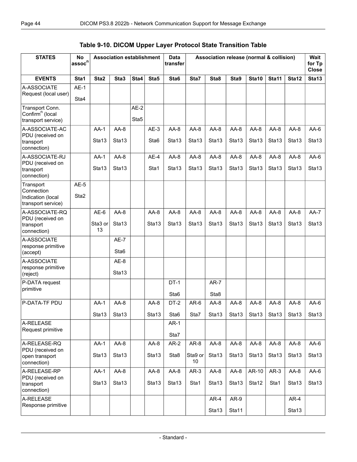### **Table 9-10. DICOM Upper Layer Protocol State Transition Table**

<span id="page-43-0"></span>

| <b>STATES</b>                                                        | No<br>$\mathsf{assoc}^{\mathsf{n}}$ | <b>Association establishment</b> |                             |                |                             | Data<br>transfer            | Association release (normal & collision) |                             |                             |                             |                             | Wait<br>for Tp<br><b>Close</b> |                 |
|----------------------------------------------------------------------|-------------------------------------|----------------------------------|-----------------------------|----------------|-----------------------------|-----------------------------|------------------------------------------|-----------------------------|-----------------------------|-----------------------------|-----------------------------|--------------------------------|-----------------|
| <b>EVENTS</b>                                                        | Sta1                                | Sta2                             | Sta3                        | Sta4           | Sta5                        | Sta6                        | Sta7                                     | Sta8                        | Sta9                        | Sta10                       | Sta11                       | Sta12                          | Sta13           |
| A-ASSOCIATE<br>Request (local user)                                  | $AE-1$<br>Sta4                      |                                  |                             |                |                             |                             |                                          |                             |                             |                             |                             |                                |                 |
| Transport Conn.<br>Confirm <sup>n</sup> (local<br>transport service) |                                     |                                  |                             | $AE-2$<br>Sta5 |                             |                             |                                          |                             |                             |                             |                             |                                |                 |
| A-ASSOCIATE-AC<br>PDU (received on<br>transport<br>connection)       |                                     | $AA-1$<br>Sta <sub>13</sub>      | $AA-8$<br>Sta <sub>13</sub> |                | $AE-3$<br>Sta <sub>6</sub>  | $AA-8$<br>Sta <sub>13</sub> | $AA-8$<br>Sta <sub>13</sub>              | $AA-8$<br>Sta <sub>13</sub> | $AA-8$<br>Sta <sub>13</sub> | $AA-8$<br>Sta <sub>13</sub> | $AA-8$<br>Sta <sub>13</sub> | $AA-8$<br>Sta <sub>13</sub>    | AA-6<br>Sta13   |
| A-ASSOCIATE-RJ<br>PDU (received on<br>transport<br>connection)       |                                     | $AA-1$<br>Sta13                  | $AA-8$<br>Sta13             |                | $AE-4$<br>Sta1              | $AA-8$<br>Sta <sub>13</sub> | $AA-8$<br>Sta13                          | $AA-8$<br>Sta13             | AA-8<br>Sta13               | $AA-8$<br>Sta13             | $AA-8$<br>Sta13             | AA-8<br>Sta13                  | AA-6<br>Sta13   |
| Transport<br>Connection<br>Indication (local<br>transport service)   | $AE-5$<br>Sta <sub>2</sub>          |                                  |                             |                |                             |                             |                                          |                             |                             |                             |                             |                                |                 |
| A-ASSOCIATE-RQ<br>PDU (received on<br>transport<br>connection)       |                                     | $AE-6$<br>Sta3 or<br>13          | $AA-8$<br>Sta <sub>13</sub> |                | $AA-8$<br>Sta <sub>13</sub> | $AA-8$<br>Sta <sub>13</sub> | $AA-8$<br>Sta13                          | $AA-8$<br>Sta <sub>13</sub> | $AA-8$<br>Sta <sub>13</sub> | $AA-8$<br>Sta <sub>13</sub> | $AA-8$<br>Sta <sub>13</sub> | $AA-8$<br>Sta <sub>13</sub>    | $AA-7$<br>Sta13 |
| A-ASSOCIATE<br>response primitive<br>(accept)                        |                                     |                                  | $AE-7$<br>Sta <sub>6</sub>  |                |                             |                             |                                          |                             |                             |                             |                             |                                |                 |
| A-ASSOCIATE<br>response primitive<br>(reject)                        |                                     |                                  | $AE-8$<br>Sta13             |                |                             |                             |                                          |                             |                             |                             |                             |                                |                 |
| P-DATA request<br>primitive                                          |                                     |                                  |                             |                |                             | $DT-1$<br>Sta <sub>6</sub>  |                                          | $AR-7$<br>Sta8              |                             |                             |                             |                                |                 |
| P-DATA-TF PDU                                                        |                                     | $AA-1$<br>Sta13                  | $AA-8$<br>Sta13             |                | $AA-8$<br>Sta13             | DT-2<br>Sta6                | $AR-6$<br>Sta7                           | $AA-8$<br>Sta13             | $AA-8$<br>Sta13 $ $         | $AA-8$<br>Sta13             | $AA-8$<br>Sta13             | $AA-8$<br>Sta13                | AA-6<br>Sta13   |
| A-RELEASE<br>Request primitive                                       |                                     |                                  |                             |                |                             | $AR-1$<br>Sta7              |                                          |                             |                             |                             |                             |                                |                 |
| A-RELEASE-RQ<br>PDU (received on<br>open transport<br>connection)    |                                     | $AA-1$<br>Sta13                  | $AA-8$<br>Sta13             |                | AA-8<br>Sta13               | $AR-2$<br>Sta8              | AR-8<br>Sta9 or<br>10                    | AA-8<br>Sta13               | AA-8<br>Sta13               | AA-8<br>Sta13               | $AA-8$<br>Sta13             | AA-8<br>Sta13                  | AA-6<br>Sta13   |
| A-RELEASE-RP<br>PDU (received on<br>transport<br>connection)         |                                     | $AA-1$<br>Sta13                  | $AA-8$<br>Sta13             |                | $AA-8$<br>Sta13             | AA-8<br>Sta13               | $AR-3$<br>Sta1                           | AA-8<br>Sta13               | AA-8<br>Sta13               | AR-10<br>Sta12              | $AR-3$<br>Sta1              | AA-8<br>Sta13                  | AA-6<br>Sta13   |
| A-RELEASE<br>Response primitive                                      |                                     |                                  |                             |                |                             |                             |                                          | $AR-4$<br>Sta13             | AR-9<br>Sta11               |                             |                             | $AR-4$<br>Sta13                |                 |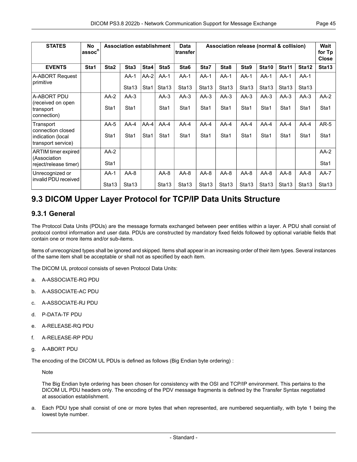| <b>STATES</b>                           | No<br><sup>≀</sup> assoc <sup>n</sup> ⊺ |                   | <b>Association establishment</b> |        |                   | Data<br>transfer  |                   | Association release (normal & collision) |                   |                   |                   |                   | Wait<br>for Tp<br><b>Close</b> |
|-----------------------------------------|-----------------------------------------|-------------------|----------------------------------|--------|-------------------|-------------------|-------------------|------------------------------------------|-------------------|-------------------|-------------------|-------------------|--------------------------------|
| <b>EVENTS</b>                           | Sta1                                    | Sta <sub>2</sub>  | Sta <sub>3</sub>                 | Sta4   | Sta5              | Sta <sub>6</sub>  | Sta7              | Sta8                                     | Sta9              | Sta10             | Sta11             | Sta <sub>12</sub> | Sta13                          |
| A-ABORT Request<br>primitive            |                                         |                   | $AA-1$                           | $AA-2$ | $AA-1$            | $AA-1$            | $AA-1$            | $AA-1$                                   | $AA-1$            | $AA-1$            | $AA-1$            | $AA-1$            |                                |
|                                         |                                         |                   | Sta <sub>13</sub>                | Sta1   | Sta <sub>13</sub> | Sta <sub>13</sub> | Sta <sub>13</sub> | Sta <sub>13</sub>                        | Sta <sub>13</sub> | Sta <sub>13</sub> | Sta <sub>13</sub> | Sta <sub>13</sub> |                                |
| A-ABORT PDU<br>(received on open)       |                                         | $AA-2$            | $AA-3$                           |        | $AA-3$            | $AA-3$            | $AA-3$            | $AA-3$                                   | $AA-3$            | $AA-3$            | $AA-3$            | $AA-3$            | $AA-2$                         |
| transport<br>connection)                |                                         | Sta1              | Sta1                             |        | Sta1              | Sta1              | Sta1              | Sta1                                     | Sta1              | Sta1              | Sta1              | Sta1              | Sta1                           |
| Transport<br>connection closed          |                                         | $AA-5$            | $AA-4$                           | $AA-4$ | $AA-4$            | $AA-4$            | $AA-4$            | $AA-4$                                   | $AA-4$            | $AA-4$            | $AA-4$            | $AA-4$            | $AR-5$                         |
| indication (local<br>transport service) |                                         | Sta1              | Sta1                             | Sta1   | Sta1              | Sta1              | Sta1              | Sta1                                     | Sta1              | Sta1              | Sta1              | Sta1              | Sta1                           |
| ARTIM timer expired<br>(Association     |                                         | $AA-2$            |                                  |        |                   |                   |                   |                                          |                   |                   |                   |                   | $AA-2$                         |
| reject/release timer)                   |                                         | Sta1              |                                  |        |                   |                   |                   |                                          |                   |                   |                   |                   | Sta1                           |
| Unrecognized or<br>invalid PDU received |                                         | $AA-1$            | $AA-8$                           |        | $AA-8$            | $AA-8$            | AA-8              | $AA-8$                                   | $AA-8$            | $AA-8$            | $AA-8$            | $AA-8$            | $AA-7$                         |
|                                         |                                         | Sta <sub>13</sub> | Sta <sub>13</sub>                |        | Sta <sub>13</sub> | Sta13             | Sta13             | Sta13                                    | Sta <sub>13</sub> | Sta13             | Sta13             | Sta <sub>13</sub> | Sta <sub>13</sub>              |

## <span id="page-44-0"></span>**9.3 DICOM Upper Layer Protocol for TCP/IP Data Units Structure**

#### **9.3.1 General**

The Protocol Data Units (PDUs) are the message formats exchanged between peer entities within a layer. A PDU shall consist of protocol control information and user data. PDUs are constructed by mandatory fixed fields followed by optional variable fields that contain one or more items and/or sub-items.

Items of unrecognized types shall be ignored and skipped. Items shall appear in an increasing order of their item types. Several instances of the same item shall be acceptable or shall not as specified by each item.

The DICOM UL protocol consists of seven Protocol Data Units:

- a. A-ASSOCIATE-RQ PDU
- b. A-ASSOCIATE-AC PDU
- c. A-ASSOCIATE-RJ PDU
- d. P-DATA-TF PDU
- e. A-RELEASE-RQ PDU
- f. A-RELEASE-RP PDU
- g. A-ABORT PDU

The encoding of the DICOM UL PDUs is defined as follows (Big Endian byte ordering) :

**Note** 

The Big Endian byte ordering has been chosen for consistency with the OSI and TCP/IP environment. This pertains to the DICOM UL PDU headers only. The encoding of the PDV message fragments is defined by the Transfer Syntax negotiated at association establishment.

a. Each PDU type shall consist of one or more bytes that when represented, are numbered sequentially, with byte 1 being the lowest byte number.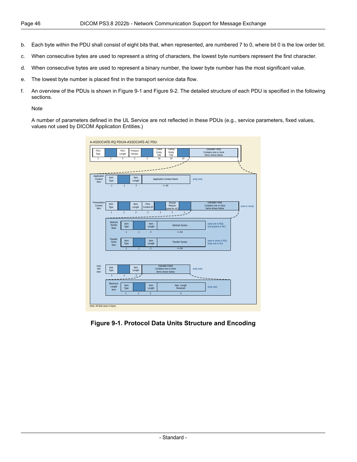- b. Each byte within the PDU shall consist of eight bits that, when represented, are numbered 7 to 0, where bit 0 is the low order bit.
- c. When consecutive bytes are used to represent a string of characters, the lowest byte numbers represent the first character.
- d. When consecutive bytes are used to represent a binary number, the lower byte number has the most significant value.
- e. The lowest byte number is placed first in the transport service data flow.
- f. An overview of the PDUs is shown in [Figure](#page-45-0) 9-1 and [Figure](#page-46-0) 9-2. The detailed structure of each PDU is specified in the following sections.

#### Note

<span id="page-45-0"></span>A number of parameters defined in the UL Service are not reflected in these PDUs (e.g., service parameters, fixed values, values not used by DICOM Application Entities.)



**Figure 9-1. Protocol Data Units Structure and Encoding**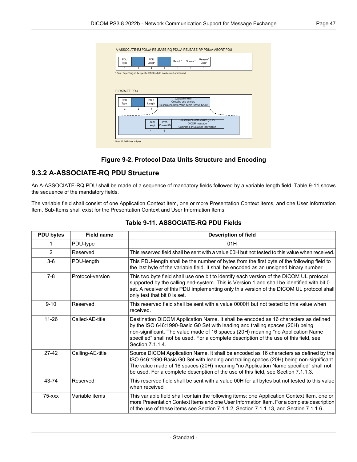<span id="page-46-0"></span>

#### **Figure 9-2. Protocol Data Units Structure and Encoding**

#### **9.3.2 A-ASSOCIATE-RQ PDU Structure**

An A-ASSOCIATE-RQ PDU shall be made of a sequence of mandatory fields followed by a variable length field. [Table](#page-46-1) 9-11 shows the sequence of the mandatory fields.

<span id="page-46-1"></span>The variable field shall consist of one Application Context Item, one or more Presentation Context Items, and one User Information Item. Sub-Items shall exist for the Presentation Context and User Information Items.

| <b>PDU bytes</b> | <b>Field name</b> | <b>Description of field</b>                                                                                                                                                                                                                                                                                                                                           |
|------------------|-------------------|-----------------------------------------------------------------------------------------------------------------------------------------------------------------------------------------------------------------------------------------------------------------------------------------------------------------------------------------------------------------------|
|                  | PDU-type          | 01H                                                                                                                                                                                                                                                                                                                                                                   |
| $\overline{2}$   | Reserved          | This reserved field shall be sent with a value 00H but not tested to this value when received.                                                                                                                                                                                                                                                                        |
| $3-6$            | PDU-length        | This PDU-length shall be the number of bytes from the first byte of the following field to<br>the last byte of the variable field. It shall be encoded as an unsigned binary number                                                                                                                                                                                   |
| $7-8$            | Protocol-version  | This two byte field shall use one bit to identify each version of the DICOM UL protocol<br>supported by the calling end-system. This is Version 1 and shall be identified with bit 0<br>set. A receiver of this PDU implementing only this version of the DICOM UL protocol shall<br>only test that bit 0 is set.                                                     |
| $9 - 10$         | Reserved          | This reserved field shall be sent with a value 0000H but not tested to this value when<br>received.                                                                                                                                                                                                                                                                   |
| $11 - 26$        | Called-AE-title   | Destination DICOM Application Name. It shall be encoded as 16 characters as defined<br>by the ISO 646:1990-Basic G0 Set with leading and trailing spaces (20H) being<br>non-significant. The value made of 16 spaces (20H) meaning "no Application Name<br>specified" shall not be used. For a complete description of the use of this field, see<br>Section 7.1.1.4. |
| $27-42$          | Calling-AE-title  | Source DICOM Application Name. It shall be encoded as 16 characters as defined by the<br>ISO 646:1990-Basic G0 Set with leading and trailing spaces (20H) being non-significant.<br>The value made of 16 spaces (20H) meaning "no Application Name specified" shall not<br>be used. For a complete description of the use of this field, see Section 7.1.1.3.         |
| 43-74            | Reserved          | This reserved field shall be sent with a value 00H for all bytes but not tested to this value<br>when received                                                                                                                                                                                                                                                        |
| $75  xxx$        | Variable items    | This variable field shall contain the following items: one Application Context Item, one or<br>more Presentation Context Items and one User Information Item. For a complete description<br>of the use of these items see Section 7.1.1.2, Section 7.1.1.13, and Section 7.1.1.6.                                                                                     |

#### **Table 9-11. ASSOCIATE-RQ PDU Fields**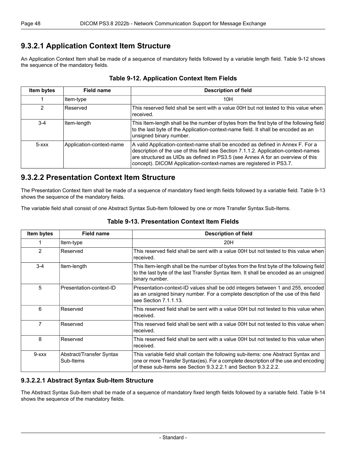## **9.3.2.1 Application Context Item Structure**

<span id="page-47-0"></span>An Application Context Item shall be made of a sequence of mandatory fields followed by a variable length field. [Table](#page-47-0) 9-12 shows the sequence of the mandatory fields.

| Item bytes | <b>Field name</b>        | <b>Description of field</b>                                                                                                                                                                                                                                                                                                    |
|------------|--------------------------|--------------------------------------------------------------------------------------------------------------------------------------------------------------------------------------------------------------------------------------------------------------------------------------------------------------------------------|
|            | Item-type                | 10H                                                                                                                                                                                                                                                                                                                            |
| 2          | ∣Reserved                | This reserved field shall be sent with a value 00H but not tested to this value when<br>received.                                                                                                                                                                                                                              |
| $3-4$      | Item-length              | This Item-length shall be the number of bytes from the first byte of the following field<br>to the last byte of the Application-context-name field. It shall be encoded as an<br>unsigned binary number.                                                                                                                       |
| $5  xxx$   | Application-context-name | A valid Application-context-name shall be encoded as defined in Annex F. For a<br>description of the use of this field see Section 7.1.1.2. Application-context-names<br>are structured as UIDs as defined in PS3.5 (see Annex A for an overview of this<br>concept). DICOM Application-context-names are registered in PS3.7. |

#### **Table 9-12. Application Context Item Fields**

### **9.3.2.2 Presentation Context Item Structure**

<span id="page-47-1"></span>The Presentation Context Item shall be made of a sequence of mandatory fixed length fields followed by a variable field. [Table](#page-47-1) 9-13 shows the sequence of the mandatory fields.

The variable field shall consist of one Abstract Syntax Sub-Item followed by one or more Transfer Syntax Sub-Items.

| Item bytes  | <b>Field name</b>                     | <b>Description of field</b>                                                                                                                                                                                                                  |
|-------------|---------------------------------------|----------------------------------------------------------------------------------------------------------------------------------------------------------------------------------------------------------------------------------------------|
|             | Item-type                             | 20H                                                                                                                                                                                                                                          |
| 2           | Reserved                              | This reserved field shall be sent with a value 00H but not tested to this value when $\mathbin $<br>received.                                                                                                                                |
| $3 - 4$     | Item-length                           | This Item-length shall be the number of bytes from the first byte of the following field<br>to the last byte of the last Transfer Syntax Item. It shall be encoded as an unsigned<br>binary number.                                          |
| 5           | Presentation-context-ID               | Presentation-context-ID values shall be odd integers between 1 and 255, encoded<br>as an unsigned binary number. For a complete description of the use of this field<br>see Section 7.1.1.13.                                                |
| 6           | Reserved                              | This reserved field shall be sent with a value 00H but not tested to this value when<br>received.                                                                                                                                            |
|             | Reserved                              | This reserved field shall be sent with a value 00H but not tested to this value when<br>received.                                                                                                                                            |
| 8           | Reserved                              | This reserved field shall be sent with a value 00H but not tested to this value when<br>received.                                                                                                                                            |
| $9 - x x x$ | Abstract/Transfer Syntax<br>Sub-Items | This variable field shall contain the following sub-items: one Abstract Syntax and<br>one or more Transfer Syntax(es). For a complete description of the use and encoding<br>of these sub-items see Section 9.3.2.2.1 and Section 9.3.2.2.2. |

#### **Table 9-13. Presentation Context Item Fields**

#### <span id="page-47-2"></span>**9.3.2.2.1 Abstract Syntax Sub-Item Structure**

The Abstract Syntax Sub-Item shall be made of a sequence of mandatory fixed length fields followed by a variable field. [Table](#page-48-1) 9-14 shows the sequence of the mandatory fields.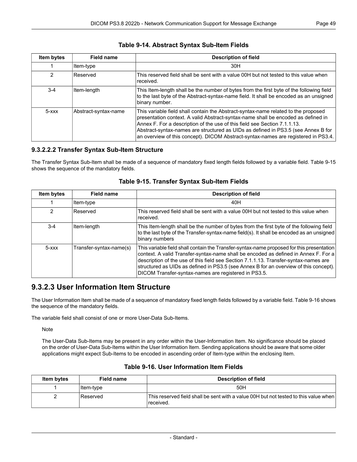#### **Table 9-14. Abstract Syntax Sub-Item Fields**

<span id="page-48-1"></span>

| Item bytes | Field name           | Description of field                                                                                                                                                                                                                                                                                                                                                                                                            |
|------------|----------------------|---------------------------------------------------------------------------------------------------------------------------------------------------------------------------------------------------------------------------------------------------------------------------------------------------------------------------------------------------------------------------------------------------------------------------------|
|            | Item-type            | 30H                                                                                                                                                                                                                                                                                                                                                                                                                             |
| 2          | <b>Reserved</b>      | This reserved field shall be sent with a value 00H but not tested to this value when<br>received.                                                                                                                                                                                                                                                                                                                               |
| $3-4$      | Item-length          | This Item-length shall be the number of bytes from the first byte of the following field<br>to the last byte of the Abstract-syntax-name field. It shall be encoded as an unsigned<br>binary number.                                                                                                                                                                                                                            |
| $5 - XXX$  | Abstract-syntax-name | This variable field shall contain the Abstract-syntax-name related to the proposed<br>presentation context. A valid Abstract-syntax-name shall be encoded as defined in<br>Annex F. For a description of the use of this field see Section 7.1.1.13.<br>Abstract-syntax-names are structured as UIDs as defined in PS3.5 (see Annex B for<br>an overview of this concept). DICOM Abstract-syntax-names are registered in PS3.4. |

#### <span id="page-48-0"></span>**9.3.2.2.2 Transfer Syntax Sub-Item Structure**

<span id="page-48-2"></span>The Transfer Syntax Sub-Item shall be made of a sequence of mandatory fixed length fields followed by a variable field. [Table](#page-48-2) 9-15 shows the sequence of the mandatory fields.

| Item bytes | <b>Field name</b>       | <b>Description of field</b>                                                                                                                                                                                                                                                                                                                                                                                               |
|------------|-------------------------|---------------------------------------------------------------------------------------------------------------------------------------------------------------------------------------------------------------------------------------------------------------------------------------------------------------------------------------------------------------------------------------------------------------------------|
|            | Item-type               | 40H                                                                                                                                                                                                                                                                                                                                                                                                                       |
| 2          | <b>Reserved</b>         | This reserved field shall be sent with a value 00H but not tested to this value when<br>received.                                                                                                                                                                                                                                                                                                                         |
| $3-4$      | Item-length             | This Item-length shall be the number of bytes from the first byte of the following field<br>to the last byte of the Transfer-syntax-name field(s). It shall be encoded as an unsigned<br>binary numbers                                                                                                                                                                                                                   |
| $5 - xxx$  | Transfer-syntax-name(s) | This variable field shall contain the Transfer-syntax-name proposed for this presentation<br>context. A valid Transfer-syntax-name shall be encoded as defined in Annex F. For a<br>description of the use of this field see Section 7.1.1.13. Transfer-syntax-names are<br>structured as UIDs as defined in PS3.5 (see Annex B for an overview of this concept).<br>DICOM Transfer-syntax-names are registered in PS3.5. |

#### **Table 9-15. Transfer Syntax Sub-Item Fields**

### **9.3.2.3 User Information Item Structure**

The User Information Item shall be made of a sequence of mandatory fixed length fields followed by a variable field. [Table](#page-48-3) 9-16 shows the sequence of the mandatory fields.

<span id="page-48-3"></span>The variable field shall consist of one or more User-Data Sub-Items.

Note

The User-Data Sub-Items may be present in any order within the User-Information Item. No significance should be placed on the order of User-Data Sub-Items within the User Information Item. Sending applications should be aware that some older applications might expect Sub-Items to be encoded in ascending order of Item-type within the enclosing Item.

| <b>Item bytes</b> | <b>Field name</b> | <b>Description of field</b>                                                                       |
|-------------------|-------------------|---------------------------------------------------------------------------------------------------|
|                   | ∣ltem-t∨pe        | 50H                                                                                               |
|                   | Reserved          | This reserved field shall be sent with a value 00H but not tested to this value when<br>received. |

#### **Table 9-16. User Information Item Fields**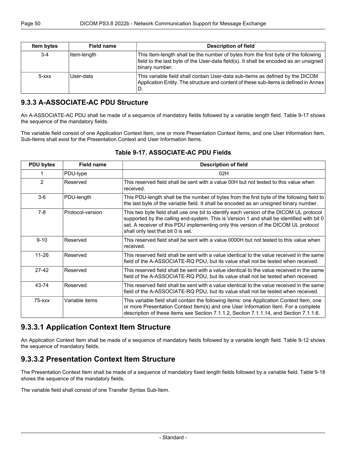| Item bytes | Field name  | <b>Description of field</b>                                                                                                                                                                  |
|------------|-------------|----------------------------------------------------------------------------------------------------------------------------------------------------------------------------------------------|
| 3-4        | Item-length | This Item-length shall be the number of bytes from the first byte of the following<br>field to the last byte of the User-data field(s). It shall be encoded as an unsigned<br>binary number. |
| $5 -$ xxx  | User-data   | This variable field shall contain User-data sub-items as defined by the DICOM<br>Application Entity. The structure and content of these sub-items is defined in Annex<br>D.                  |

### **9.3.3 A-ASSOCIATE-AC PDU Structure**

An A-ASSOCIATE-AC PDU shall be made of a sequence of mandatory fields followed by a variable length field. [Table](#page-49-0) 9-17 shows the sequence of the mandatory fields.

<span id="page-49-0"></span>The variable field consist of one Application Context Item, one or more Presentation Context Items, and one User Information Item. Sub-Items shall exist for the Presentation Context and User Information Items.

| <b>PDU bytes</b> | <b>Field name</b> | <b>Description of field</b>                                                                                                                                                                                                                                                                                       |
|------------------|-------------------|-------------------------------------------------------------------------------------------------------------------------------------------------------------------------------------------------------------------------------------------------------------------------------------------------------------------|
|                  | PDU-type          | 02H                                                                                                                                                                                                                                                                                                               |
| $\mathcal{P}$    | Reserved          | This reserved field shall be sent with a value 00H but not tested to this value when<br>received.                                                                                                                                                                                                                 |
| $3-6$            | PDU-length        | This PDU-length shall be the number of bytes from the first byte of the following field to<br>the last byte of the variable field. It shall be encoded as an unsigned binary number.                                                                                                                              |
| $7-8$            | Protocol-version  | This two byte field shall use one bit to identify each version of the DICOM UL protocol<br>supported by the calling end-system. This is Version 1 and shall be identified with bit 0<br>set. A receiver of this PDU implementing only this version of the DICOM UL protocol<br>shall only test that bit 0 is set. |
| $9 - 10$         | Reserved          | This reserved field shall be sent with a value 0000H but not tested to this value when<br>received.                                                                                                                                                                                                               |
| $11 - 26$        | Reserved          | This reserved field shall be sent with a value identical to the value received in the same<br> field of the A-ASSOCIATE-RQ PDU, but its value shall not be tested when received.                                                                                                                                  |
| $27-42$          | Reserved          | This reserved field shall be sent with a value identical to the value received in the same<br>field of the A-ASSOCIATE-RQ PDU, but its value shall not be tested when received.                                                                                                                                   |
| 43-74            | Reserved          | This reserved field shall be sent with a value identical to the value received in the same<br>field of the A-ASSOCIATE-RQ PDU, but its value shall not be tested when received.                                                                                                                                   |
| $75  xxx$        | Variable items    | This variable field shall contain the following items: one Application Context Item, one<br>or more Presentation Context Item(s) and one User Information Item. For a complete<br>description of these items see Section 7.1.1.2, Section 7.1.1.14, and Section 7.1.1.6.                                          |

#### **Table 9-17. ASSOCIATE-AC PDU Fields**

## **9.3.3.1 Application Context Item Structure**

An Application Context Item shall be made of a sequence of mandatory fields followed by a variable length field. [Table](#page-47-0) 9-12 shows the sequence of mandatory fields.

### **9.3.3.2 Presentation Context Item Structure**

The Presentation Context Item shall be made of a sequence of mandatory fixed length fields followed by a variable field. [Table](#page-50-0) 9-18 shows the sequence of the mandatory fields.

The variable field shall consist of one Transfer Syntax Sub-Item.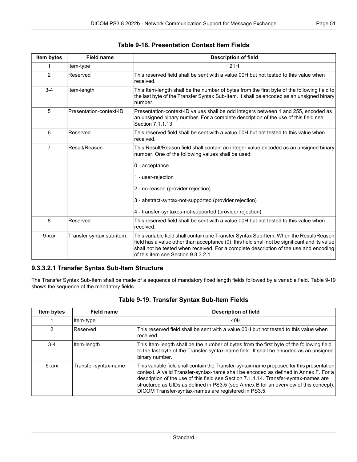<span id="page-50-0"></span>

| Item bytes     | <b>Field name</b>        | <b>Description of field</b>                                                                                                                                                                                                                                                                                                                     |
|----------------|--------------------------|-------------------------------------------------------------------------------------------------------------------------------------------------------------------------------------------------------------------------------------------------------------------------------------------------------------------------------------------------|
| 1              | Item-type                | 21H                                                                                                                                                                                                                                                                                                                                             |
| $\overline{2}$ | Reserved                 | This reserved field shall be sent with a value 00H but not tested to this value when<br>received.                                                                                                                                                                                                                                               |
| $3 - 4$        | Item-length              | This Item-length shall be the number of bytes from the first byte of the following field to<br>the last byte of the Transfer Syntax Sub-Item. It shall be encoded as an unsigned binary<br>number.                                                                                                                                              |
| 5              | Presentation-context-ID  | Presentation-context-ID values shall be odd integers between 1 and 255, encoded as<br>an unsigned binary number. For a complete description of the use of this field see<br>Section 7.1.1.13.                                                                                                                                                   |
| 6              | Reserved                 | This reserved field shall be sent with a value 00H but not tested to this value when<br>received.                                                                                                                                                                                                                                               |
| $\overline{7}$ | Result/Reason            | This Result/Reason field shall contain an integer value encoded as an unsigned binary<br>number. One of the following values shall be used:<br>0 - acceptance<br>1 - user-rejection<br>2 - no-reason (provider rejection)<br>3 - abstract-syntax-not-supported (provider rejection)<br>4 - transfer-syntaxes-not-supported (provider rejection) |
| 8              | Reserved                 | This reserved field shall be sent with a value 00H but not tested to this value when<br>received.                                                                                                                                                                                                                                               |
| $9 - x x x$    | Transfer syntax sub-item | This variable field shall contain one Transfer Syntax Sub-Item. When the Result/Reason<br>field has a value other than acceptance (0), this field shall not be significant and its value<br>shall not be tested when received. For a complete description of the use and encoding<br>of this item see Section 9.3.3.2.1.                        |

#### **Table 9-18. Presentation Context Item Fields**

#### <span id="page-50-2"></span><span id="page-50-1"></span>**9.3.3.2.1 Transfer Syntax Sub-Item Structure**

The Transfer Syntax Sub-Item shall be made of a sequence of mandatory fixed length fields followed by a variable field. [Table](#page-50-2) 9-19 shows the sequence of the mandatory fields.

| Item bytes | <b>Field name</b>    | <b>Description of field</b>                                                                                                                                                                                                                                                                                                                                                                                               |
|------------|----------------------|---------------------------------------------------------------------------------------------------------------------------------------------------------------------------------------------------------------------------------------------------------------------------------------------------------------------------------------------------------------------------------------------------------------------------|
|            | Item-type            | 40H                                                                                                                                                                                                                                                                                                                                                                                                                       |
| 2          | Reserved             | This reserved field shall be sent with a value 00H but not tested to this value when<br>received.                                                                                                                                                                                                                                                                                                                         |
| $3 - 4$    | Item-length          | This Item-length shall be the number of bytes from the first byte of the following field<br>to the last byte of the Transfer-syntax-name field. It shall be encoded as an unsigned<br>binary number.                                                                                                                                                                                                                      |
| $5 - xxx$  | Transfer-syntax-name | This variable field shall contain the Transfer-syntax-name proposed for this presentation<br>context. A valid Transfer-syntax-name shall be encoded as defined in Annex F. For a<br>description of the use of this field see Section 7.1.1.14. Transfer-syntax-names are<br>structured as UIDs as defined in PS3.5 (see Annex B for an overview of this concept).<br>DICOM Transfer-syntax-names are registered in PS3.5. |

|  | Table 9-19. Transfer Syntax Sub-Item Fields |  |  |  |  |
|--|---------------------------------------------|--|--|--|--|
|--|---------------------------------------------|--|--|--|--|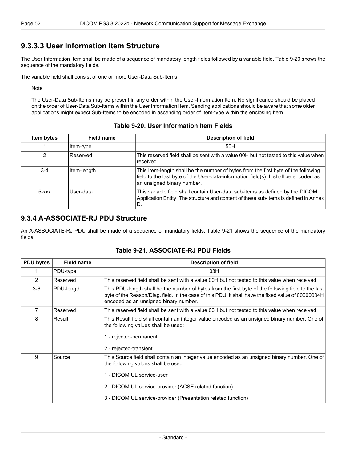### **9.3.3.3 User Information Item Structure**

The User Information Item shall be made of a sequence of mandatory length fields followed by a variable field. [Table](#page-51-0) 9-20 shows the sequence of the mandatory fields.

The variable field shall consist of one or more User-Data Sub-Items.

**Note** 

<span id="page-51-0"></span>The User-Data Sub-Items may be present in any order within the User-Information Item. No significance should be placed on the order of User-Data Sub-Items within the User Information Item. Sending applications should be aware that some older applications might expect Sub-Items to be encoded in ascending order of Item-type within the enclosing Item.

#### **Table 9-20. User Information Item Fields**

| Item bytes      | <b>Field name</b> | <b>Description of field</b>                                                                                                                                                                              |
|-----------------|-------------------|----------------------------------------------------------------------------------------------------------------------------------------------------------------------------------------------------------|
|                 | Item-type         | 50H                                                                                                                                                                                                      |
| 2               | Reserved          | This reserved field shall be sent with a value 00H but not tested to this value when<br>received.                                                                                                        |
| $3 - 4$         | Item-length       | This Item-length shall be the number of bytes from the first byte of the following<br>field to the last byte of the User-data-information field(s). It shall be encoded as<br>an unsigned binary number. |
| $5 - x$ $x$ $x$ | User-data         | This variable field shall contain User-data sub-items as defined by the DICOM<br>Application Entity. The structure and content of these sub-items is defined in Annex<br>ID.                             |

#### **9.3.4 A-ASSOCIATE-RJ PDU Structure**

<span id="page-51-1"></span>An A-ASSOCIATE-RJ PDU shall be made of a sequence of mandatory fields. [Table](#page-51-1) 9-21 shows the sequence of the mandatory fields.

| <b>PDU bytes</b> | <b>Field name</b> | <b>Description of field</b>                                                                                                                                                                                                                                                                 |
|------------------|-------------------|---------------------------------------------------------------------------------------------------------------------------------------------------------------------------------------------------------------------------------------------------------------------------------------------|
|                  | PDU-type          | 03H                                                                                                                                                                                                                                                                                         |
| 2                | Reserved          | This reserved field shall be sent with a value 00H but not tested to this value when received.                                                                                                                                                                                              |
| $3-6$            | PDU-length        | This PDU-length shall be the number of bytes from the first byte of the following field to the last<br>byte of the Reason/Diag. field. In the case of this PDU, it shall have the fixed value of 00000004H<br>encoded as an unsigned binary number.                                         |
| $\overline{7}$   | Reserved          | This reserved field shall be sent with a value 00H but not tested to this value when received.                                                                                                                                                                                              |
| 8                | Result            | This Result field shall contain an integer value encoded as an unsigned binary number. One of<br>the following values shall be used:<br>1 - rejected-permanent<br>2 - rejected-transient                                                                                                    |
| 9                | Source            | This Source field shall contain an integer value encoded as an unsigned binary number. One of<br>the following values shall be used:<br>1 - DICOM UL service-user<br>2 - DICOM UL service-provider (ACSE related function)<br>3 - DICOM UL service-provider (Presentation related function) |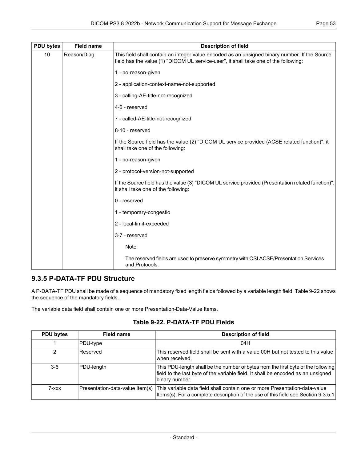| <b>PDU bytes</b> | <b>Field name</b> | <b>Description of field</b>                                                                                                                                                           |  |
|------------------|-------------------|---------------------------------------------------------------------------------------------------------------------------------------------------------------------------------------|--|
| 10               | Reason/Diag.      | This field shall contain an integer value encoded as an unsigned binary number. If the Source<br>field has the value (1) "DICOM UL service-user", it shall take one of the following: |  |
|                  |                   | 1 - no-reason-given                                                                                                                                                                   |  |
|                  |                   | 2 - application-context-name-not-supported                                                                                                                                            |  |
|                  |                   | 3 - calling-AE-title-not-recognized                                                                                                                                                   |  |
|                  |                   | 4-6 - reserved                                                                                                                                                                        |  |
|                  |                   | 7 - called-AE-title-not-recognized                                                                                                                                                    |  |
|                  |                   | 8-10 - reserved                                                                                                                                                                       |  |
|                  |                   | If the Source field has the value (2) "DICOM UL service provided (ACSE related function)", it<br>shall take one of the following:                                                     |  |
|                  |                   | 1 - no-reason-given                                                                                                                                                                   |  |
|                  |                   | 2 - protocol-version-not-supported                                                                                                                                                    |  |
|                  |                   | If the Source field has the value (3) "DICOM UL service provided (Presentation related function)",<br>it shall take one of the following:                                             |  |
|                  |                   | $0$ - reserved                                                                                                                                                                        |  |
|                  |                   | 1 - temporary-congestio                                                                                                                                                               |  |
|                  |                   | 2 - local-limit-exceeded                                                                                                                                                              |  |
|                  |                   | 3-7 - reserved                                                                                                                                                                        |  |
|                  |                   | <b>Note</b>                                                                                                                                                                           |  |
|                  |                   | The reserved fields are used to preserve symmetry with OSI ACSE/Presentation Services<br>and Protocols.                                                                               |  |

### **9.3.5 P-DATA-TF PDU Structure**

<span id="page-52-0"></span>A P-DATA-TF PDU shall be made of a sequence of mandatory fixed length fields followed by a variable length field. [Table](#page-52-0) 9-22 shows the sequence of the mandatory fields.

The variable data field shall contain one or more Presentation-Data-Value Items.

#### **Table 9-22. P-DATA-TF PDU Fields**

| <b>PDU bytes</b> | <b>Field name</b> | <b>Description of field</b>                                                                                                                                                                     |
|------------------|-------------------|-------------------------------------------------------------------------------------------------------------------------------------------------------------------------------------------------|
|                  | PDU-type          | 04H                                                                                                                                                                                             |
|                  | Reserved          | This reserved field shall be sent with a value 00H but not tested to this value<br>when received.                                                                                               |
| $3-6$            | PDU-length        | This PDU-length shall be the number of bytes from the first byte of the following<br>field to the last byte of the variable field. It shall be encoded as an unsigned<br>binary number.         |
| 7-xxx            |                   | Presentation-data-value Item(s) This variable data field shall contain one or more Presentation-data-value<br>Items(s). For a complete description of the use of this field see Section 9.3.5.1 |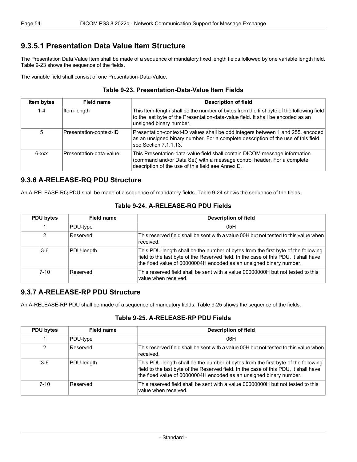### <span id="page-53-0"></span>**9.3.5.1 Presentation Data Value Item Structure**

The Presentation Data Value Item shall be made of a sequence of mandatory fixed length fields followed by one variable length field. [Table](#page-53-1) 9-23 shows the sequence of the fields.

<span id="page-53-1"></span>The variable field shall consist of one Presentation-Data-Value.

| Item bytes      | Field name              | <b>Description of field</b>                                                                                                                                                                                |
|-----------------|-------------------------|------------------------------------------------------------------------------------------------------------------------------------------------------------------------------------------------------------|
| $1 - 4$         | Item-length             | This Item-length shall be the number of bytes from the first byte of the following field<br>to the last byte of the Presentation-data-value field. It shall be encoded as an<br>unsigned binary number.    |
| 5               | Presentation-context-ID | Presentation-context-ID values shall be odd integers between 1 and 255, encoded<br>as an unsigned binary number. For a complete description of the use of this field<br>see Section 7.1.1.13.              |
| $6 - x$ $x$ $x$ | Presentation-data-value | This Presentation-data-value field shall contain DICOM message information<br>(command and/or Data Set) with a message control header. For a complete<br>description of the use of this field see Annex E. |

#### <span id="page-53-2"></span>**9.3.6 A-RELEASE-RQ PDU Structure**

An A-RELEASE-RQ PDU shall be made of a sequence of mandatory fields. [Table](#page-53-2) 9-24 shows the sequence of the fields.

| <b>PDU bytes</b> | Field name | <b>Description of field</b>                                                                                                                                                                                                                     |
|------------------|------------|-------------------------------------------------------------------------------------------------------------------------------------------------------------------------------------------------------------------------------------------------|
|                  | PDU-type   | 05H                                                                                                                                                                                                                                             |
| 2                | Reserved   | This reserved field shall be sent with a value 00H but not tested to this value when<br>received.                                                                                                                                               |
| 3-6              | PDU-length | This PDU-length shall be the number of bytes from the first byte of the following<br>field to the last byte of the Reserved field. In the case of this PDU, it shall have<br>the fixed value of 00000004H encoded as an unsigned binary number. |
| $7 - 10$         | Reserved   | This reserved field shall be sent with a value 00000000H but not tested to this<br>value when received.                                                                                                                                         |

#### **Table 9-24. A-RELEASE-RQ PDU Fields**

#### <span id="page-53-3"></span>**9.3.7 A-RELEASE-RP PDU Structure**

An A-RELEASE-RP PDU shall be made of a sequence of mandatory fields. [Table](#page-53-3) 9-25 shows the sequence of the fields.

#### **Table 9-25. A-RELEASE-RP PDU Fields**

| <b>PDU bytes</b> | Field name | <b>Description of field</b>                                                                                                                                                                                                                     |
|------------------|------------|-------------------------------------------------------------------------------------------------------------------------------------------------------------------------------------------------------------------------------------------------|
|                  | PDU-type   | 06H                                                                                                                                                                                                                                             |
| 2                | Reserved   | This reserved field shall be sent with a value 00H but not tested to this value when<br>received.                                                                                                                                               |
| 3-6              | PDU-length | This PDU-length shall be the number of bytes from the first byte of the following<br>field to the last byte of the Reserved field. In the case of this PDU, it shall have<br>the fixed value of 00000004H encoded as an unsigned binary number. |
| $7-10$           | Reserved   | This reserved field shall be sent with a value 00000000H but not tested to this<br>value when received.                                                                                                                                         |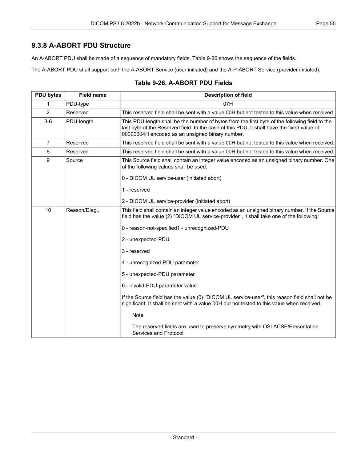#### **9.3.8 A-ABORT PDU Structure**

An A-ABORT PDU shall be made of a sequence of mandatory fields. [Table](#page-54-0) 9-26 shows the sequence of the fields.

<span id="page-54-0"></span>The A-ABORT PDU shall support both the A-ABORT Service (user initiated) and the A-P-ABORT Service (provider initiated).

|                  |                   | Table 9-26. A-ABORT PDU FIEIGS                                                                                                                                                                                                                  |
|------------------|-------------------|-------------------------------------------------------------------------------------------------------------------------------------------------------------------------------------------------------------------------------------------------|
| <b>PDU bytes</b> | <b>Field name</b> | <b>Description of field</b>                                                                                                                                                                                                                     |
| $\mathbf{1}$     | PDU-type          | 07H                                                                                                                                                                                                                                             |
| $\overline{2}$   | Reserved          | This reserved field shall be sent with a value 00H but not tested to this value when received.                                                                                                                                                  |
| $3-6$            | PDU-length        | This PDU-length shall be the number of bytes from the first byte of the following field to the<br>last byte of the Reserved field. In the case of this PDU, it shall have the fixed value of<br>00000004H encoded as an unsigned binary number. |
| $\overline{7}$   | Reserved          | This reserved field shall be sent with a value 00H but not tested to this value when received.                                                                                                                                                  |
| 8                | Reserved          | This reserved field shall be sent with a value 00H but not tested to this value when received.                                                                                                                                                  |
| 9                | Source            | This Source field shall contain an integer value encoded as an unsigned binary number. One<br>of the following values shall be used:<br>0 - DICOM UL service-user (initiated abort)                                                             |
|                  |                   | 1 - reserved                                                                                                                                                                                                                                    |
|                  |                   | 2 - DICOM UL service-provider (initiated abort)                                                                                                                                                                                                 |
| 10               | Reason/Diag.,     | This field shall contain an integer value encoded as an unsigned binary number. If the Source<br>field has the value (2) "DICOM UL service-provider", it shall take one of the following:                                                       |
|                  |                   | 0 - reason-not-specified1 - unrecognized-PDU                                                                                                                                                                                                    |
|                  |                   | 2 - unexpected-PDU                                                                                                                                                                                                                              |
|                  |                   | 3 - reserved                                                                                                                                                                                                                                    |
|                  |                   | 4 - unrecognized-PDU parameter                                                                                                                                                                                                                  |
|                  |                   | 5 - unexpected-PDU parameter                                                                                                                                                                                                                    |
|                  |                   | 6 - invalid-PDU-parameter value                                                                                                                                                                                                                 |
|                  |                   | If the Source field has the value (0) "DICOM UL service-user", this reason field shall not be<br>significant. It shall be sent with a value 00H but not tested to this value when received.                                                     |
|                  |                   | <b>Note</b>                                                                                                                                                                                                                                     |
|                  |                   | The reserved fields are used to preserve symmetry with OSI ACSE/Presentation                                                                                                                                                                    |

#### **Table 9-26. A-ABORT PDU Fields**

Services and Protocol.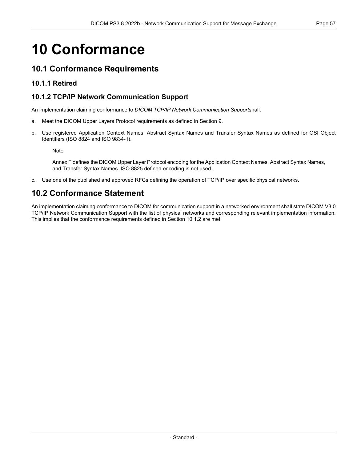## **10 Conformance**

## **10.1 Conformance Requirements**

### <span id="page-56-0"></span>**10.1.1 Retired**

### **10.1.2 TCP/IP Network Communication Support**

An implementation claiming conformance to *DICOM TCP/IP Network Communication Support*shall:

- a. Meet the DICOM Upper Layers Protocol requirements as defined in Section 9.
- b. Use registered Application Context Names, Abstract Syntax Names and Transfer Syntax Names as defined for OSI Object Identifiers (ISO 8824 and ISO 9834-1).

Note

[Annex](#page-68-0) F defines the DICOM Upper Layer Protocol encoding for the Application Context Names, Abstract Syntax Names, and Transfer Syntax Names. ISO 8825 defined encoding is not used.

c. Use one of the published and approved RFCs defining the operation of TCP/IP over specific physical networks.

## **10.2 Conformance Statement**

An implementation claiming conformance to DICOM for communication support in a networked environment shall state DICOM V3.0 TCP/IP Network Communication Support with the list of physical networks and corresponding relevant implementation information. This implies that the conformance requirements defined in [Section](#page-56-0) 10.1.2 are met.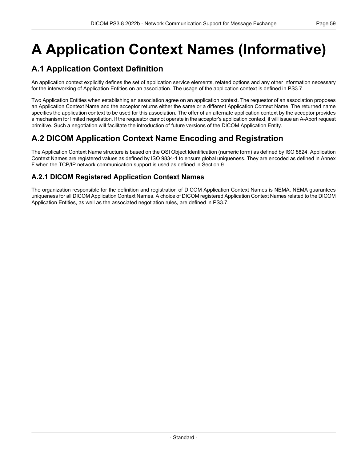# <span id="page-58-0"></span>**A Application Context Names (Informative)**

## **A.1 Application Context Definition**

An application context explicitly defines the set of application service elements, related options and any other information necessary for the interworking of Application Entities on an association. The usage of the application context is defined in [PS3.7](part07.pdf#PS3.7).

Two Application Entities when establishing an association agree on an application context. The requestor of an association proposes an Application Context Name and the acceptor returns either the same or a different Application Context Name. The returned name specifies the application context to be used for this association. The offer of an alternate application context by the acceptor provides a mechanism for limited negotiation. If the requestor cannot operate in the acceptor's application context, it will issue an A-Abort request primitive. Such a negotiation will facilitate the introduction of future versions of the DICOM Application Entity.

## **A.2 DICOM Application Context Name Encoding and Registration**

The Application Context Name structure is based on the OSI Object Identification (numeric form) as defined by ISO 8824. Application Context Names are registered values as defined by ISO 9834-1 to ensure global uniqueness. They are encoded as defined in [Annex](#page-68-0) [F](#page-68-0) when the TCP/IP network communication support is used as defined in Section 9.

## **A.2.1 DICOM Registered Application Context Names**

The organization responsible for the definition and registration of DICOM Application Context Names is NEMA. NEMA guarantees uniqueness for all DICOM Application Context Names. A choice of DICOM registered Application Context Names related to the DICOM Application Entities, as well as the associated negotiation rules, are defined in [PS3.7.](part07.pdf#PS3.7)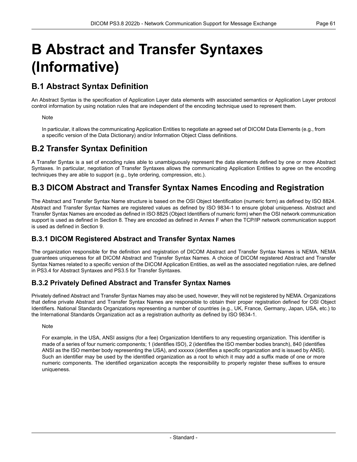## <span id="page-60-0"></span>**B Abstract and Transfer Syntaxes (Informative)**

## **B.1 Abstract Syntax Definition**

An Abstract Syntax is the specification of Application Layer data elements with associated semantics or Application Layer protocol control information by using notation rules that are independent of the encoding technique used to represent them.

**Note** 

In particular, it allows the communicating Application Entities to negotiate an agreed set of DICOM Data Elements (e.g., from a specific version of the Data Dictionary) and/or Information Object Class definitions.

## **B.2 Transfer Syntax Definition**

A Transfer Syntax is a set of encoding rules able to unambiguously represent the data elements defined by one or more Abstract Syntaxes. In particular, negotiation of Transfer Syntaxes allows the communicating Application Entities to agree on the encoding techniques they are able to support (e.g., byte ordering, compression, etc.).

## **B.3 DICOM Abstract and Transfer Syntax Names Encoding and Registration**

The Abstract and Transfer Syntax Name structure is based on the OSI Object Identification (numeric form) as defined by ISO 8824. Abstract and Transfer Syntax Names are registered values as defined by ISO 9834-1 to ensure global uniqueness. Abstract and Transfer Syntax Names are encoded as defined in ISO 8825 (Object Identifiers of numeric form) when the OSI network communication support is used as defined in Section 8. They are encoded as defined in [Annex](#page-68-0) F when the TCP/IP network communication support is used as defined in Section 9.

### **B.3.1 DICOM Registered Abstract and Transfer Syntax Names**

The organization responsible for the definition and registration of DICOM Abstract and Transfer Syntax Names is NEMA. NEMA guarantees uniqueness for all DICOM Abstract and Transfer Syntax Names. A choice of DICOM registered Abstract and Transfer Syntax Names related to a specific version of the DICOM Application Entities, as well as the associated negotiation rules, are defined in [PS3.4](part04.pdf#PS3.4) for Abstract Syntaxes and [PS3.5](part05.pdf#PS3.5) for Transfer Syntaxes.

### **B.3.2 Privately Defined Abstract and Transfer Syntax Names**

Privately defined Abstract and Transfer Syntax Names may also be used, however, they will not be registered by NEMA. Organizations that define private Abstract and Transfer Syntax Names are responsible to obtain their proper registration defined for OSI Object Identifiers. National Standards Organizations representing a number of countries (e.g., UK, France, Germany, Japan, USA, etc.) to the International Standards Organization act as a registration authority as defined by ISO 9834-1.

**Note** 

For example, in the USA, ANSI assigns (for a fee) Organization Identifiers to any requesting organization. This identifier is made of a series of four numeric components; 1 (identifies ISO), 2 (identifies the ISO member bodies branch), 840 (identifies ANSI as the ISO member body representing the USA), and xxxxxx (identifies a specific organization and is issued by ANSI). Such an identifier may be used by the identified organization as a root to which it may add a suffix made of one or more numeric components. The identified organization accepts the responsibility to properly register these suffixes to ensure uniqueness.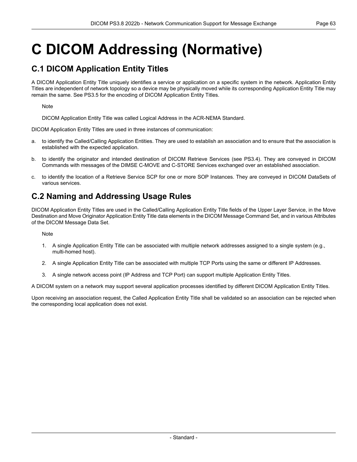## **C DICOM Addressing (Normative)**

## **C.1 DICOM Application Entity Titles**

A DICOM Application Entity Title uniquely identifies a service or application on a specific system in the network. Application Entity Titles are independent of network topology so a device may be physically moved while its corresponding Application Entity Title may remain the same. See [PS3.5](part05.pdf#PS3.5) for the encoding of DICOM Application Entity Titles.

Note

DICOM Application Entity Title was called Logical Address in the ACR-NEMA Standard.

DICOM Application Entity Titles are used in three instances of communication:

- a. to identify the Called/Calling Application Entities. They are used to establish an association and to ensure that the association is established with the expected application.
- b. to identify the originator and intended destination of DICOM Retrieve Services (see [PS3.4](part04.pdf#PS3.4)). They are conveyed in DICOM Commands with messages of the DIMSE C-MOVE and C-STORE Services exchanged over an established association.
- c. to identify the location of a Retrieve Service SCP for one or more SOP Instances. They are conveyed in DICOM DataSets of various services.

## **C.2 Naming and Addressing Usage Rules**

DICOM Application Entity Titles are used in the Called/Calling Application Entity Title fields of the Upper Layer Service, in the Move Destination and Move Originator Application Entity Title data elements in the DICOM Message Command Set, and in various Attributes of the DICOM Message Data Set.

Note

- 1. A single Application Entity Title can be associated with multiple network addresses assigned to a single system (e.g., multi-homed host).
- 2. A single Application Entity Title can be associated with multiple TCP Ports using the same or different IP Addresses.
- 3. A single network access point (IP Address and TCP Port) can support multiple Application Entity Titles.

A DICOM system on a network may support several application processes identified by different DICOM Application Entity Titles.

Upon receiving an association request, the Called Application Entity Title shall be validated so an association can be rejected when the corresponding local application does not exist.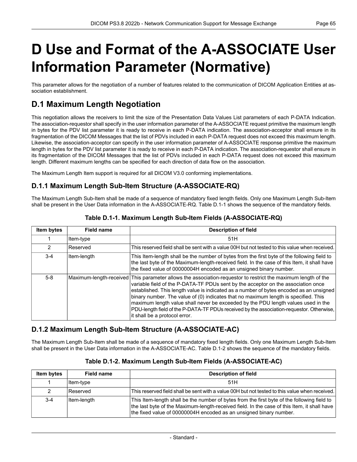## <span id="page-64-0"></span>**D Use and Format of the A-ASSOCIATE User Information Parameter (Normative)**

This parameter allows for the negotiation of a number of features related to the communication of DICOM Application Entities at as sociation establishment.

## **D.1 Maximum Length Negotiation**

This negotiation allows the receivers to limit the size of the Presentation Data Values List parameters of each P-DATA Indication. The association-requestor shall specify in the user information parameter of the A-ASSOCIATE request primitive the maximum length in bytes for the PDV list parameter it is ready to receive in each P-DATA indication. The association-acceptor shall ensure in its fragmentation of the DICOM Messages that the list of PDVs included in each P-DATA request does not exceed this maximum length. Likewise, the association-acceptor can specify in the user information parameter of A-ASSOCIATE response primitive the maximum length in bytes for the PDV list parameter it is ready to receive in each P-DATA indication. The association-requestor shall ensure in its fragmentation of the DICOM Messages that the list of PDVs included in each P-DATA request does not exceed this maximum length. Different maximum lengths can be specified for each direction of data flow on the association.

The Maximum Length Item support is required for all DICOM V3.0 conforming implementations.

### **D.1.1 Maximum Length Sub-Item Structure (A-ASSOCIATE-RQ)**

<span id="page-64-1"></span>The Maximum Length Sub-Item shall be made of a sequence of mandatory fixed length fields. Only one Maximum Length Sub-Item shall be present in the User Data information in the A-ASSOCIATE-RQ. [Table](#page-64-1) D.1-1 shows the sequence of the mandatory fields.

| Item bytes | <b>Field name</b> | <b>Description of field</b>                                                                                                                                                                                                                                                                                                                                                                                                                                                                                                                                                                            |
|------------|-------------------|--------------------------------------------------------------------------------------------------------------------------------------------------------------------------------------------------------------------------------------------------------------------------------------------------------------------------------------------------------------------------------------------------------------------------------------------------------------------------------------------------------------------------------------------------------------------------------------------------------|
|            | Item-type         | 51H                                                                                                                                                                                                                                                                                                                                                                                                                                                                                                                                                                                                    |
| 2          | Reserved          | This reserved field shall be sent with a value 00H but not tested to this value when received.                                                                                                                                                                                                                                                                                                                                                                                                                                                                                                         |
| $3 - 4$    | Item-length       | This Item-length shall be the number of bytes from the first byte of the following field to<br>the last byte of the Maximum-length-received field. In the case of this Item, it shall have<br>the fixed value of 00000004H encoded as an unsigned binary number.                                                                                                                                                                                                                                                                                                                                       |
| $5-8$      |                   | Maximum-length-received This parameter allows the association-requestor to restrict the maximum length of the<br>variable field of the P-DATA-TF PDUs sent by the acceptor on the association once<br>established. This length value is indicated as a number of bytes encoded as an unsigned<br>binary number. The value of (0) indicates that no maximum length is specified. This<br>maximum length value shall never be exceeded by the PDU length values used in the<br>PDU-length field of the P-DATA-TF PDUs received by the association-requestor. Otherwise,<br>it shall be a protocol error. |

#### **Table D.1-1. Maximum Length Sub-Item Fields (A-ASSOCIATE-RQ)**

### <span id="page-64-2"></span>**D.1.2 Maximum Length Sub-Item Structure (A-ASSOCIATE-AC)**

The Maximum Length Sub-Item shall be made of a sequence of mandatory fixed length fields. Only one Maximum Length Sub-Item shall be present in the User Data information in the A-ASSOCIATE-AC. [Table](#page-64-2) D.1-2 shows the sequence of the mandatory fields.

| <b>Item bytes</b> | Field name  | <b>Description of field</b>                                                                                                                                                                                                                                      |
|-------------------|-------------|------------------------------------------------------------------------------------------------------------------------------------------------------------------------------------------------------------------------------------------------------------------|
|                   | ltem-type   | 51H                                                                                                                                                                                                                                                              |
| 2                 | l Reserved  | This reserved field shall be sent with a value 00H but not tested to this value when received.                                                                                                                                                                   |
| $3 - 4$           | Item-length | This Item-length shall be the number of bytes from the first byte of the following field to<br>the last byte of the Maximum-length-received field. In the case of this Item, it shall have<br>the fixed value of 00000004H encoded as an unsigned binary number. |

#### **Table D.1-2. Maximum Length Sub-Item Fields (A-ASSOCIATE-AC)**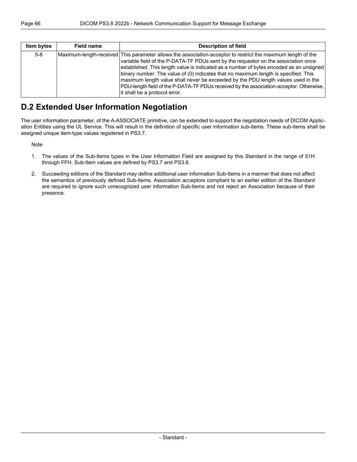| <b>Item bytes</b> | Field name | <b>Description of field</b>                                                                                                                                                                                                                                                                                                                                                                                                                                                                                                                                                                           |
|-------------------|------------|-------------------------------------------------------------------------------------------------------------------------------------------------------------------------------------------------------------------------------------------------------------------------------------------------------------------------------------------------------------------------------------------------------------------------------------------------------------------------------------------------------------------------------------------------------------------------------------------------------|
| $5 - 8$           |            | Maximum-length-received This parameter allows the association-acceptor to restrict the maximum length of the<br>variable field of the P-DATA-TF PDUs sent by the requestor on the association once<br>established. This length value is indicated as a number of bytes encoded as an unsigned<br>binary number. The value of (0) indicates that no maximum length is specified. This<br>maximum length value shall never be exceeded by the PDU length values used in the<br>PDU-length field of the P-DATA-TF PDUs received by the association-acceptor. Otherwise,<br>it shall be a protocol error. |

## **D.2 Extended User Information Negotiation**

The user information parameter, of the A-ASSOCIATE primitive, can be extended to support the negotiation needs of DICOM Applic ation Entities using the UL Service. This will result in the definition of specific user information sub-items. These sub-items shall be assigned unique item-type values registered in [PS3.7](part07.pdf#PS3.7).

Note

- 1. The values of the Sub-Items types in the User Information Field are assigned by this Standard in the range of 51H through FFH. Sub-Item values are defined by [PS3.7](part07.pdf#PS3.7) and [PS3.8](#page-0-0).
- 2. Succeeding editions of the Standard may define additional user information Sub-Items in a manner that does not affect the semantics of previously defined Sub-Items. Association acceptors compliant to an earlier edition of the Standard are required to ignore such unrecognized user information Sub-Items and not reject an Association because of their presence.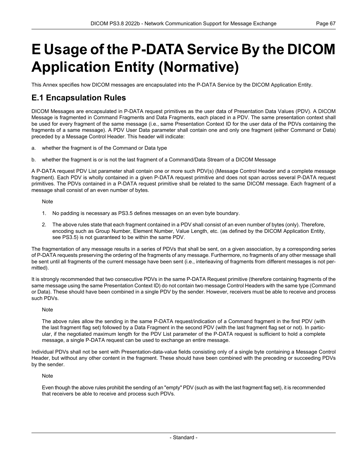## <span id="page-66-0"></span>**E Usage of the P-DATA Service By the DICOM Application Entity (Normative)**

This Annex specifies how DICOM messages are encapsulated into the P-DATA Service by the DICOM Application Entity.

## **E.1 Encapsulation Rules**

DICOM Messages are encapsulated in P-DATA request primitives as the user data of Presentation Data Values (PDV). A DICOM Message is fragmented in Command Fragments and Data Fragments, each placed in a PDV. The same presentation context shall be used for every fragment of the same message (i.e., same Presentation Context ID for the user data of the PDVs containing the fragments of a same message). A PDV User Data parameter shall contain one and only one fragment (either Command or Data) preceded by a Message Control Header. This header will indicate:

- a. whether the fragment is of the Command or Data type
- b. whether the fragment is or is not the last fragment of a Command/Data Stream of a DICOM Message

A P-DATA request PDV List parameter shall contain one or more such PDV(s) (Message Control Header and a complete message fragment). Each PDV is wholly contained in a given P-DATA request primitive and does not span across several P-DATA request primitives. The PDVs contained in a P-DATA request primitive shall be related to the same DICOM message. Each fragment of a message shall consist of an even number of bytes.

**Note** 

- 1. No padding is necessary as [PS3.5](part05.pdf#PS3.5) defines messages on an even byte boundary.
- 2. The above rules state that each fragment contained in a PDV shall consist of an even number of bytes (only). Therefore, encoding such as Group Number, Element Number, Value Length, etc. (as defined by the DICOM Application Entity, see [PS3.5](part05.pdf#PS3.5)) is not guaranteed to be within the same PDV.

The fragmentation of any message results in a series of PDVs that shall be sent, on a given association, by a corresponding series of P-DATA requests preserving the ordering of the fragments of any message. Furthermore, no fragments of any other message shall be sent until all fragments of the current message have been sent (i.e., interleaving of fragments from different messages is not per mitted).

It is strongly recommended that two consecutive PDVs in the same P-DATA Request primitive (therefore containing fragments of the same message using the same Presentation Context ID) do not contain two message Control Headers with the same type (Command or Data). These should have been combined in a single PDV by the sender. However, receivers must be able to receive and process such PDVs.

#### **Note**

The above rules allow the sending in the same P-DATA request/indication of a Command fragment in the first PDV (with the last fragment flag set) followed by a Data Fragment in the second PDV (with the last fragment flag set or not). In partic ular, if the negotiated maximum length for the PDV List parameter of the P-DATA request is sufficient to hold a complete message, a single P-DATA request can be used to exchange an entire message.

Individual PDVs shall not be sent with Presentation-data-value fields consisting only of a single byte containing a Message Control Header, but without any other content in the fragment. These should have been combined with the preceding or succeeding PDVs by the sender.

Note

Even though the above rules prohibit the sending of an "empty" PDV (such as with the last fragment flag set), it is recommended that receivers be able to receive and process such PDVs.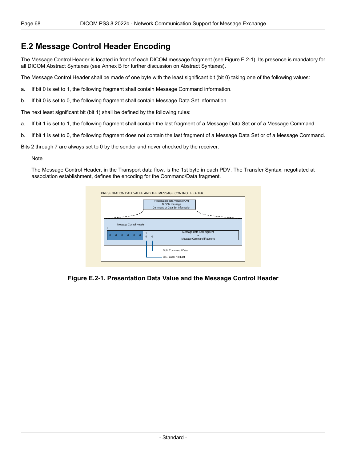## **E.2 Message Control Header Encoding**

The Message Control Header is located in front of each DICOM message fragment (see [Figure](#page-67-0) E.2-1). Its presence is mandatory for all DICOM Abstract Syntaxes (see [Annex](#page-60-0) B for further discussion on Abstract Syntaxes).

The Message Control Header shall be made of one byte with the least significant bit (bit 0) taking one of the following values:

- a. If bit 0 is set to 1, the following fragment shall contain Message Command information.
- b. If bit 0 is set to 0, the following fragment shall contain Message Data Set information.

The next least significant bit (bit 1) shall be defined by the following rules:

- a. If bit 1 is set to 1, the following fragment shall contain the last fragment of a Message Data Set or of a Message Command.
- b. If bit 1 is set to 0, the following fragment does not contain the last fragment of a Message Data Set or of a Message Command.

Bits 2 through 7 are always set to 0 by the sender and never checked by the receiver.

#### Note

<span id="page-67-0"></span>The Message Control Header, in the Transport data flow, is the 1st byte in each PDV. The Transfer Syntax, negotiated at association establishment, defines the encoding for the Command/Data fragment.



**Figure E.2-1. Presentation Data Value and the Message Control Header**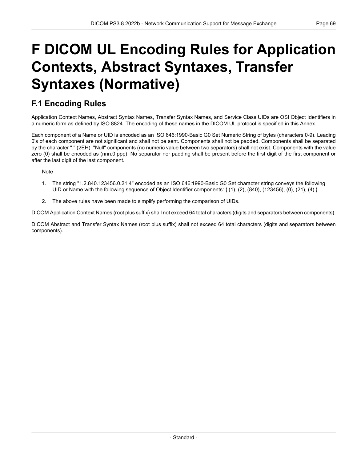## <span id="page-68-0"></span>**F DICOM UL Encoding Rules for Application Contexts, Abstract Syntaxes, Transfer Syntaxes (Normative)**

## **F.1 Encoding Rules**

Application Context Names, Abstract Syntax Names, Transfer Syntax Names, and Service Class UIDs are OSI Object Identifiers in a numeric form as defined by ISO 8824. The encoding of these names in the DICOM UL protocol is specified in this Annex.

Each component of a Name or UID is encoded as an ISO 646:1990-Basic G0 Set Numeric String of bytes (characters 0-9). Leading 0's of each component are not significant and shall not be sent. Components shall not be padded. Components shall be separated by the character "." (2EH). "Null" components (no numeric value between two separators) shall not exist. Components with the value zero (0) shall be encoded as (nnn.0.ppp). No separator nor padding shall be present before the first digit of the first component or after the last digit of the last component.

**Note** 

- 1. The string "1.2.840.123456.0.21.4" encoded as an ISO 646:1990-Basic G0 Set character string conveys the following UID or Name with the following sequence of Object Identifier components: { (1), (2), (840), (123456), (0), (21), (4) }.
- 2. The above rules have been made to simplify performing the comparison of UIDs.

DICOM Application Context Names (root plus suffix) shall not exceed 64 total characters (digits and separators between components).

DICOM Abstract and Transfer Syntax Names (root plus suffix) shall not exceed 64 total characters (digits and separators between components).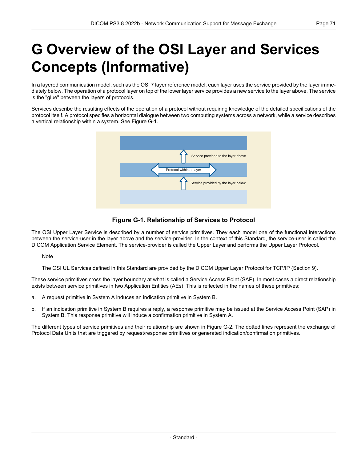## **G Overview of the OSI Layer and Services Concepts (Informative)**

In a layered communication model, such as the OSI 7 layer reference model, each layer uses the service provided by the layer imme diately below. The operation of a protocol layer on top of the lower layer service provides a new service to the layer above. The service is the "glue" between the layers of protocols.

<span id="page-70-0"></span>Services describe the resulting effects of the operation of a protocol without requiring knowledge of the detailed specifications of the protocol itself. A protocol specifies a horizontal dialogue between two computing systems across a network, while a service describes a vertical relationship within a system. See [Figure](#page-70-0) G-1.



#### **Figure G-1. Relationship of Services to Protocol**

The OSI Upper Layer Service is described by a number of service primitives. They each model one of the functional interactions between the service-user in the layer above and the service-provider. In the context of this Standard, the service-user is called the DICOM Application Service Element. The service-provider is called the Upper Layer and performs the Upper Layer Protocol.

**Note** 

The OSI UL Services defined in this Standard are provided by the DICOM Upper Layer Protocol for TCP/IP (Section 9).

These service primitives cross the layer boundary at what is called a Service Access Point (SAP). In most cases a direct relationship exists between service primitives in two Application Entities (AEs). This is reflected in the names of these primitives:

- a. A request primitive in System A induces an indication primitive in System B.
- b. If an indication primitive in System B requires a reply, a response primitive may be issued at the Service Access Point (SAP) in System B. This response primitive will induce a confirmation primitive in System A.

The different types of service primitives and their relationship are shown in [Figure](#page-71-0) G-2. The dotted lines represent the exchange of Protocol Data Units that are triggered by request/response primitives or generated indication/confirmation primitives.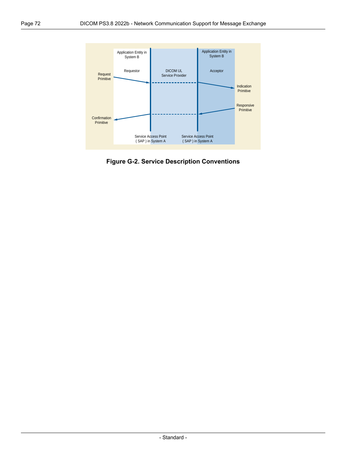<span id="page-71-0"></span>

**Figure G-2. Service Description Conventions**